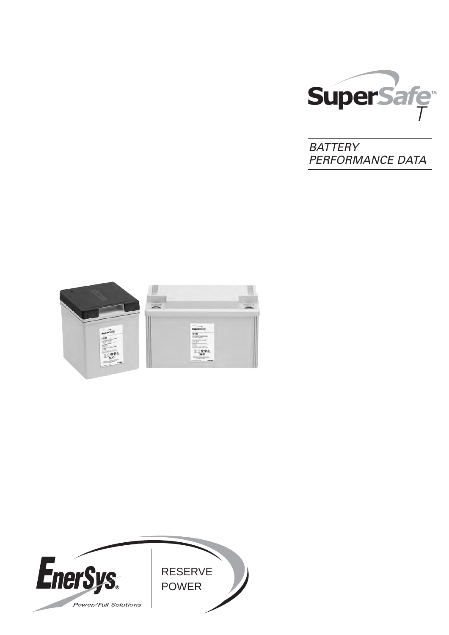

**BATTERY** PERFORMANCE DATA



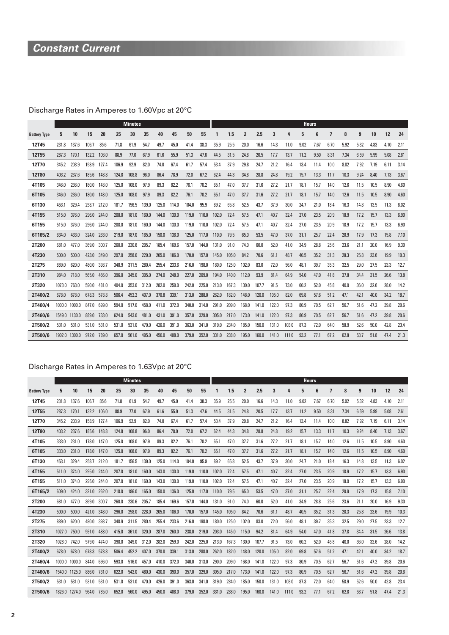# **Constant Current**

# Discharge Rates in Amperes to 1.60Vpc at 20°C

|                     |        |        |       |       |       | <b>Minutes</b> |       |       |       |       |       |       |       |                |       |       |       | <b>Hours</b> |      |      |      |      |      |      |      |
|---------------------|--------|--------|-------|-------|-------|----------------|-------|-------|-------|-------|-------|-------|-------|----------------|-------|-------|-------|--------------|------|------|------|------|------|------|------|
| <b>Battery Type</b> | 5      | 10     | 15    | 20    | 25    | 30             | 35    | 40    | 45    | 50    | 55    |       | 1.5   | $\overline{2}$ | 2.5   | 3     | 4     | 5            | ĥ    | 7    | 8    | 9    | 10   | 12   | 24   |
| 12T45               | 231.8  | 137.6  | 106.7 | 85.6  | 71.8  | 61.9           | 54.7  | 49.7  | 45.0  | 41.4  | 38.3  | 35.9  | 25.5  | 20.0           | 16.6  | 14.3  | 11.0  | 9.02         | 7.67 | 6.70 | 5.92 | 5.32 | 4.83 | 4.10 | 2.11 |
| 12T55               | 287.3  | 170.1  | 132.2 | 106.0 | 88.9  | 77.0           | 67.9  | 61.6  | 55.9  | 51.3  | 47.6  | 44.5  | 31.5  | 24.8           | 20.5  | 17.7  | 13.7  | 11.2         | 9.50 | 8.31 | 7.34 | 6.59 | 5.99 | 5.08 | 2.61 |
| 12T70               | 345.2  | 203.9  | 158.9 | 127.4 | 106.9 | 92.9           | 82.0  | 74.0  | 67.4  | 61.7  | 57.4  | 53.4  | 37.9  | 29.8           | 24.7  | 21.2  | 16.4  | 13.4         | 11.4 | 10.0 | 8.82 | 7.92 | 7.19 | 6.11 | 3.14 |
| 12T80               | 403.2  | 237.6  | 185.6 | 148.8 | 124.8 | 108.8          | 96.0  | 86.4  | 78.9  | 72.0  | 67.2  | 62.4  | 44.3  | 34.8           | 28.8  | 24.8  | 19.2  | 15.7         | 13.3 | 11.7 | 10.3 | 9.24 | 8.40 | 7.13 | 3.67 |
| 4T105               | 346.0  | 236.0  | 180.0 | 148.0 | 125.0 | 108.0          | 97.9  | 89.3  | 82.2  | 76.1  | 70.2  | 65.1  | 47.0  | 37.7           | 31.6  | 27.2  | 21.7  | 18.1         | 15.7 | 14.0 | 12.6 | 11.5 | 10.5 | 8.90 | 4.60 |
| 6T105               | 346.0  | 236.0  | 180.0 | 148.0 | 125.0 | 108.0          | 97.9  | 89.3  | 82.2  | 76.1  | 70.2  | 65.1  | 47.0  | 37.7           | 31.6  | 27.2  | 21.7  | 18.1         | 15.7 | 14.0 | 12.6 | 11.5 | 10.5 | 8.90 | 4.60 |
| 6T130               | 453.1  | 329.4  | 258.7 | 212.0 | 181.7 | 156.5          | 139.0 | 125.0 | 114.0 | 104.0 | 95.9  | 89.2  | 65.8  | 52.5           | 43.7  | 37.9  | 30.0  | 24.7         | 21.0 | 18.4 | 16.3 | 14.8 | 13.5 | 11.3 | 6.02 |
| 4T155               | 515.0  | 376.0  | 296.0 | 244.0 | 208.0 | 181.0          | 160.0 | 144.0 | 130.0 | 119.0 | 110.0 | 102.0 | 72.4  | 57.5           | 47.1  | 40.7  | 32.4  | 27.0         | 23.5 | 20.9 | 18.9 | 17.2 | 15.7 | 13.3 | 6.90 |
| 6T155               | 515.0  | 376.0  | 296.0 | 244.0 | 208.0 | 181.0          | 160.0 | 144.0 | 130.0 | 119.0 | 110.0 | 102.0 | 72.4  | 57.5           | 47.1  | 40.7  | 32.4  | 27.0         | 23.5 | 20.9 | 18.9 | 17.2 | 15.7 | 13.3 | 6.90 |
| 6T165/2             | 634.0  | 433.0  | 324.0 | 263.0 | 219.0 | 187.0          | 165.0 | 150.0 | 136.0 | 125.0 | 117.0 | 110.0 | 79.5  | 65.0           | 53.5  | 47.0  | 37.0  | 31.1         | 25.7 | 22.4 | 20.9 | 17.9 | 17.3 | 15.8 | 7.10 |
| 2T200               | 681.0  | 477.0  | 369.0 | 300.7 | 260.0 | 230.6          | 205.7 | 185.4 | 169.6 | 157.0 | 144.0 | 131.0 | 91.0  | 74.0           | 60.0  | 52.0  | 41.0  | 34.9         | 28.8 | 25.6 | 23.6 | 21.1 | 20.0 | 16.9 | 9.30 |
| 4T230               | 500.0  | 500.0  | 423.0 | 349.0 | 297.0 | 258.0          | 229.0 | 205.0 | 186.0 | 170.0 | 157.0 | 145.0 | 105.0 | 84.2           | 70.6  | 61.1  | 48.7  | 40.5         | 35.2 | 31.3 | 28.3 | 25.8 | 23.6 | 19.9 | 10.3 |
| 2T275               | 889.0  | 620.0  | 480.0 | 398.7 | 348.9 | 311.5          | 280.4 | 255.4 | 233.6 | 216.0 | 198.0 | 180.0 | 125.0 | 102.0          | 83.0  | 72.0  | 56.0  | 48.1         | 39.7 | 35.3 | 32.5 | 29.0 | 27.5 | 23.3 | 12.7 |
| 2T310               | 984.0  | 718.0  | 565.0 | 466.0 | 396.0 | 345.0          | 305.0 | 274.0 | 248.0 | 227.0 | 209.0 | 194.0 | 140.0 | 112.0          | 93.9  | 81.4  | 64.9  | 54.0         | 47.0 | 41.8 | 37.8 | 34.4 | 31.5 | 26.6 | 13.8 |
| 2T320               | 1073.0 | 763.0  | 590.0 | 481.0 | 404.0 | 353.0          | 312.0 | 282.0 | 259.0 | 242.0 | 225.0 | 213.0 | 167.3 | 130.0          | 107.7 | 91.5  | 73.0  | 60.2         | 52.0 | 45.8 | 40.0 | 36.0 | 32.6 | 28.0 | 14.2 |
| 2T400/2             | 678.0  | 678.0  | 678.3 | 578.8 | 506.4 | 452.2          | 407.0 | 370.8 | 339.1 | 313.0 | 288.0 | 262.0 | 182.0 | 148.0          | 120.0 | 105.0 | 82.0  | 69.8         | 57.6 | 51.2 | 47.1 | 42.1 | 40.0 | 34.2 | 18.7 |
| 2T460/4             | 1000.0 | 1000.0 | 847.0 | 699.0 | 594.0 | 517.0          | 458.0 | 411.0 | 372.0 | 340.0 | 314.0 | 291.0 | 209.0 | 168.0          | 141.0 | 122.0 | 97.3  | 80.9         | 70.5 | 62.7 | 56.7 | 51.6 | 47.2 | 39.8 | 20.6 |
| 2T460/6             | 1549.0 | 1130.0 | 889.0 | 733.0 | 624.0 | 543.0          | 481.0 | 431.0 | 391.0 | 357.0 | 329.0 | 305.0 | 217.0 | 173.0          | 141.0 | 122.0 | 97.3  | 80.9         | 70.5 | 62.7 | 56.7 | 51.6 | 47.2 | 39.8 | 20.6 |
| 2T500/2             | 531.0  | 531.0  | 531.0 | 531.0 | 531.0 | 531.0          | 470.0 | 426.0 | 391.0 | 363.0 | 341.0 | 319.0 | 234.0 | 185.0          | 150.0 | 131.0 | 103.0 | 87.3         | 72.0 | 64.0 | 58.9 | 52.6 | 50.0 | 42.8 | 23.4 |
| 2T500/6             | 1902.0 | 1300.0 | 972.0 | 789.0 | 657.0 | 561.0          | 495.0 | 450.0 | 408.0 | 379.0 | 352.0 | 331.0 | 238.0 | 195.0          | 160.0 | 141.0 | 111.0 | 93.2         | 77.1 | 67.2 | 62.8 | 53.7 | 51.8 | 47.4 | 21.3 |

### Discharge Rates in Amperes to 1.63Vpc at 20°C

|                     |        |               |       |       |       | <b>Minutes</b> |       |       |       |       |       |       |       |                |       |       |       | <b>Hours</b> |      |      |      |      |      |      |      |
|---------------------|--------|---------------|-------|-------|-------|----------------|-------|-------|-------|-------|-------|-------|-------|----------------|-------|-------|-------|--------------|------|------|------|------|------|------|------|
| <b>Battery Type</b> | 5      | 10            | 15    | 20    | 25    | 30             | 35    | 40    | 45    | 50    | 55    | 1     | 1.5   | $\overline{2}$ | 2.5   | 3     | 4     | 5            | 6    | 7    | 8    | 9    | 10   | 12   | 24   |
| <b>12T45</b>        | 231.8  | 137.6         | 106.7 | 85.6  | 71.8  | 61.9           | 54.7  | 49.7  | 45.0  | 41.4  | 38.3  | 35.9  | 25.5  | 20.0           | 16.6  | 14.3  | 11.0  | 9.02         | 7.67 | 6.70 | 5.92 | 5.32 | 4.83 | 4.10 | 2.11 |
| <b>12T55</b>        | 287.3  | 170.1         | 132.2 | 106.0 | 88.9  | 77.0           | 67.9  | 61.6  | 55.9  | 51.3  | 47.6  | 44.5  | 31.5  | 24.8           | 20.5  | 17.7  | 13.7  | 11.2         | 9.50 | 8.31 | 7.34 | 6.59 | 5.99 | 5.08 | 2.61 |
| 12T70               | 345.2  | 203.9         | 158.9 | 127.4 | 106.9 | 92.9           | 82.0  | 74.0  | 67.4  | 61.7  | 57.4  | 53.4  | 37.9  | 29.8           | 24.7  | 21.2  | 16.4  | 13.4         | 11.4 | 10.0 | 8.82 | 7.92 | 7.19 | 6.11 | 3.14 |
| <b>12T80</b>        | 403.2  | 237.6         | 185.6 | 148.8 | 124.8 | 108.8          | 96.0  | 86.4  | 78.9  | 72.0  | 67.2  | 62.4  | 44.3  | 34.8           | 28.8  | 24.8  | 19.2  | 15.7         | 13.3 | 11.7 | 10.3 | 9.24 | 8.40 | 7.13 | 3.67 |
| 4T105               | 333.0  | 231.0         | 178.0 | 147.0 | 125.0 | 108.0          | 97.9  | 89.3  | 82.2  | 76.1  | 70.2  | 65.1  | 47.0  | 37.7           | 31.6  | 27.2  | 21.7  | 18.1         | 15.7 | 14.0 | 12.6 | 11.5 | 10.5 | 8.90 | 4.60 |
| 6T105               | 333.0  | 231.0         | 178.0 | 147.0 | 125.0 | 108.0          | 97.9  | 89.3  | 82.2  | 76.1  | 70.2  | 65.1  | 47.0  | 37.7           | 31.6  | 27.2  | 21.7  | 18.1         | 15.7 | 14.0 | 12.6 | 11.5 | 10.5 | 8.90 | 4.60 |
| 6T130               | 453.1  | 329.4         | 258.7 | 212.0 | 181.7 | 156.5          | 139.0 | 125.0 | 114.0 | 104.0 | 95.9  | 89.2  | 65.8  | 52.5           | 43.7  | 37.9  | 30.0  | 24.7         | 21.0 | 18.4 | 16.3 | 14.8 | 13.5 | 11.3 | 6.02 |
| 4T155               | 511.0  | 374.0         | 295.0 | 244.0 | 207.0 | 181.0          | 160.0 | 143.0 | 130.0 | 119.0 | 110.0 | 102.0 | 72.4  | 57.5           | 47.1  | 40.7  | 32.4  | 27.0         | 23.5 | 20.9 | 18.9 | 17.2 | 15.7 | 13.3 | 6.90 |
| 6T155               | 511.0  | 374.0         | 295.0 | 244.0 | 207.0 | 181.0          | 160.0 | 143.0 | 130.0 | 119.0 | 110.0 | 102.0 | 72.4  | 57.5           | 47.1  | 40.7  | 32.4  | 27.0         | 23.5 | 20.9 | 18.9 | 17.2 | 15.7 | 13.3 | 6.90 |
| 6T165/2             | 609.0  | 424.0         | 321.0 | 262.0 | 218.0 | 186.0          | 165.0 | 150.0 | 136.0 | 125.0 | 117.0 | 110.0 | 79.5  | 65.0           | 53.5  | 47.0  | 37.0  | 31.1         | 25.7 | 22.4 | 20.9 | 17.9 | 17.3 | 15.8 | 7.10 |
| 2T200               | 681.0  | 477.0         | 369.0 | 300.7 | 260.0 | 230.6          | 205.7 | 185.4 | 169.6 | 157.0 | 144.0 | 131.0 | 91.0  | 74.0           | 60.0  | 52.0  | 41.0  | 34.9         | 28.8 | 25.6 | 23.6 | 21.1 | 20.0 | 16.9 | 9.30 |
| 4T230               | 500.0  | 500.0         | 421.0 | 348.0 | 296.0 | 258.0          | 228.0 | 205.0 | 186.0 | 170.0 | 157.0 | 145.0 | 105.0 | 84.2           | 70.6  | 61.1  | 48.7  | 40.5         | 35.2 | 31.3 | 28.3 | 25.8 | 23.6 | 19.9 | 10.3 |
| 2T275               | 889.0  | 620.0         | 480.0 | 398.7 | 348.9 | 311.5          | 280.4 | 255.4 | 233.6 | 216.0 | 198.0 | 180.0 | 125.0 | 102.0          | 83.0  | 72.0  | 56.0  | 48.1         | 39.7 | 35.3 | 32.5 | 29.0 | 27.5 | 23.3 | 12.7 |
| 2T310               | 1027.0 | 750.0         | 591.0 | 488.0 | 415.0 | 361.0          | 320.0 | 287.0 | 260.0 | 238.0 | 219.0 | 203.0 | 145.0 | 115.0          | 94.2  | 81.4  | 64.9  | 54.0         | 47.0 | 41.8 | 37.8 | 34.4 | 31.5 | 26.6 | 13.8 |
| 2T320               | 1028.0 | 742.0         | 579.0 | 474.0 | 398.0 | 349.0          | 312.0 | 282.0 | 259.0 | 242.0 | 225.0 | 213.0 | 167.3 | 130.0          | 107.7 | 91.5  | 73.0  | 60.2         | 52.0 | 45.8 | 40.0 | 36.0 | 32.6 | 28.0 | 14.2 |
| 2T400/2             | 678.0  | 678.0         | 678.3 | 578.8 | 506.4 | 452.2          | 407.0 | 370.8 | 339.1 | 313.0 | 288.0 | 262.0 | 182.0 | 148.0          | 120.0 | 105.0 | 82.0  | 69.8         | 57.6 | 51.2 | 47.1 | 42.1 | 40.0 | 34.2 | 18.7 |
| 2T460/4             | 1000.0 | 1000.0        | 844.0 | 696.0 | 593.0 | 516.0          | 457.0 | 410.0 | 372.0 | 340.0 | 313.0 | 290.0 | 209.0 | 168.0          | 141.0 | 122.0 | 97.3  | 80.9         | 70.5 | 62.7 | 56.7 | 51.6 | 47.2 | 39.8 | 20.6 |
| 2T460/6             |        | 1540.0 1125.0 | 886.0 | 731.0 | 622.0 | 542.0          | 480.0 | 430.0 | 390.0 | 357.0 | 329.0 | 305.0 | 217.0 | 173.0          | 141.0 | 122.0 | 97.3  | 80.9         | 70.5 | 62.7 | 56.7 | 51.6 | 47.2 | 39.8 | 20.6 |
| 2T500/2             | 531.0  | 531.0         | 531.0 | 531.0 | 531.0 | 531.0          | 470.0 | 426.0 | 391.0 | 363.0 | 341.0 | 319.0 | 234.0 | 185.0          | 150.0 | 131.0 | 103.0 | 87.3         | 72.0 | 64.0 | 58.9 | 52.6 | 50.0 | 42.8 | 23.4 |
| 2T500/6             |        | 1826.0 1274.0 | 964.0 | 785.0 | 652.0 | 560.0          | 495.0 | 450.0 | 408.0 | 379.0 | 352.0 | 331.0 | 238.0 | 195.0          | 160.0 | 141.0 | 111.0 | 93.2         | 77.1 | 67.2 | 62.8 | 53.7 | 51.8 | 47.4 | 21.3 |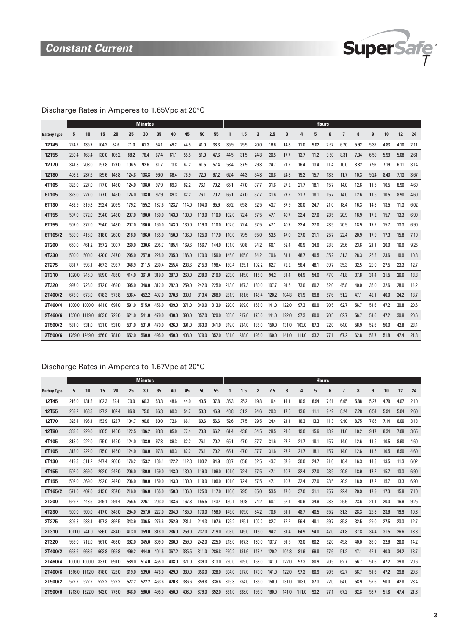

### Discharge Rates in Amperes to 1.65Vpc at 20°C

|                     |        |               |       |       |       | <b>Minutes</b> |       |       |       |       |       |       |       |                |       |       |       |      | <b>Hours</b> |      |      |      |      |      |      |
|---------------------|--------|---------------|-------|-------|-------|----------------|-------|-------|-------|-------|-------|-------|-------|----------------|-------|-------|-------|------|--------------|------|------|------|------|------|------|
| <b>Battery Type</b> | 5      | 10            | 15    | 20    | 25    | 30             | 35    | 40    | 45    | 50    | 55    |       | 1.5   | $\overline{2}$ | 2.5   | 3     |       | 5    | 6            | 7    | 8    | 9    | 10   | 12   | 24   |
| 12T45               | 224.2  | 135.7         | 104.2 | 84.6  | 71.0  | 61.3           | 54.1  | 49.2  | 44.5  | 41.0  | 38.3  | 35.9  | 25.5  | 20.0           | 16.6  | 14.3  | 11.0  | 9.02 | 7.67         | 6.70 | 5.92 | 5.32 | 4.83 | 4.10 | 2.11 |
| 12T <sub>55</sub>   | 280.4  | 168.4         | 130.0 | 105.2 | 88.2  | 76.4           | 67.4  | 61.1  | 55.5  | 51.0  | 47.6  | 44.5  | 31.5  | 24.8           | 20.5  | 17.7  | 13.7  | 11.2 | 9.50         | 8.31 | 7.34 | 6.59 | 5.99 | 5.08 | 2.61 |
| 12T70               | 341.8  | 203.0         | 157.8 | 127.0 | 106.5 | 92.6           | 81.7  | 73.8  | 67.2  | 61.5  | 57.4  | 53.4  | 37.9  | 29.8           | 24.7  | 21.2  | 16.4  | 13.4 | 11.4         | 10.0 | 8.82 | 7.92 | 7.19 | 6.11 | 3.14 |
| <b>12T80</b>        | 403.2  | 237.6         | 185.6 | 148.8 | 124.8 | 108.8          | 96.0  | 86.4  | 78.9  | 72.0  | 67.2  | 62.4  | 44.3  | 34.8           | 28.8  | 24.8  | 19.2  | 15.7 | 13.3         | 11.7 | 10.3 | 9.24 | 8.40 | 7.13 | 3.67 |
| 4T105               | 323.0  | 227.0         | 177.0 | 146.0 | 124.0 | 108.0          | 97.9  | 89.3  | 82.2  | 76.1  | 70.2  | 65.1  | 47.0  | 37.7           | 31.6  | 27.2  | 21.7  | 18.1 | 15.7         | 14.0 | 12.6 | 11.5 | 10.5 | 8.90 | 4.60 |
| 6T105               | 323.0  | 227.0         | 177.0 | 146.0 | 124.0 | 108.0          | 97.9  | 89.3  | 82.2  | 76.1  | 70.2  | 65.1  | 47.0  | 37.7           | 31.6  | 27.2  | 21.7  | 18.1 | 15.7         | 14.0 | 12.6 | 11.5 | 10.5 | 8.90 | 4.60 |
| 6T130               | 432.9  | 319.3         | 252.4 | 209.5 | 179.2 | 155.2          | 137.6 | 123.7 | 114.0 | 104.0 | 95.9  | 89.2  | 65.8  | 52.5           | 43.7  | 37.9  | 30.0  | 24.7 | 21.0         | 18.4 | 16.3 | 14.8 | 13.5 | 11.3 | 6.02 |
| 4T155               | 507.0  | 372.0         | 294.0 | 243.0 | 207.0 | 180.0          | 160.0 | 143.0 | 130.0 | 119.0 | 110.0 | 102.0 | 72.4  | 57.5           | 47.1  | 40.7  | 32.4  | 27.0 | 23.5         | 20.9 | 18.9 | 17.2 | 15.7 | 13.3 | 6.90 |
| 6T155               | 507.0  | 372.0         | 294.0 | 243.0 | 207.0 | 180.0          | 160.0 | 143.0 | 130.0 | 119.0 | 110.0 | 102.0 | 72.4  | 57.5           | 47.1  | 40.7  | 32.4  | 27.0 | 23.5         | 20.9 | 18.9 | 17.2 | 15.7 | 13.3 | 6.90 |
| 6T165/2             | 589.0  | 416.0         | 318.0 | 260.0 | 218.0 | 186.0          | 165.0 | 150.0 | 136.0 | 125.0 | 117.0 | 110.0 | 79.5  | 65.0           | 53.5  | 47.0  | 37.0  | 31.1 | 25.7         | 22.4 | 20.9 | 17.9 | 17.3 | 15.8 | 7.10 |
| 2T200               | 650.0  | 461.2         | 357.2 | 300.7 | 260.0 | 230.6          | 205.7 | 185.4 | 169.6 | 156.7 | 144.0 | 131.0 | 90.8  | 74.2           | 60.1  | 52.4  | 40.9  | 34.9 | 28.8         | 25.6 | 23.6 | 21.1 | 20.0 | 16.9 | 9.25 |
| 4T230               | 500.0  | 500.0         | 420.0 | 347.0 | 295.0 | 257.0          | 228.0 | 205.0 | 186.0 | 170.0 | 156.0 | 145.0 | 105.0 | 84.2           | 70.6  | 61.1  | 48.7  | 40.5 | 35.2         | 31.3 | 28.3 | 25.8 | 23.6 | 19.9 | 10.3 |
| 2T275               | 831.7  | 598.1         | 467.3 | 398.7 | 348.9 | 311.5          | 280.4 | 255.4 | 233.6 | 215.9 | 198.4 | 180.4 | 125.1 | 102.2          | 82.7  | 72.2  | 56.4  | 48.1 | 39.7         | 35.3 | 32.5 | 29.0 | 27.5 | 23.3 | 12.7 |
| 2T310               | 1020.0 | 746.0         | 589.0 | 486.0 | 414.0 | 361.0          | 319.0 | 287.0 | 260.0 | 238.0 | 219.0 | 203.0 | 145.0 | 115.0          | 94.2  | 81.4  | 64.9  | 54.0 | 47.0         | 41.8 | 37.8 | 34.4 | 31.5 | 26.6 | 13.8 |
| 2T320               | 997.0  | 728.0         | 572.0 | 469.0 | 395.0 | 348.0          | 312.0 | 282.0 | 259.0 | 242.0 | 225.0 | 213.0 | 167.3 | 130.0          | 107.7 | 91.5  | 73.0  | 60.2 | 52.0         | 45.8 | 40.0 | 36.0 | 32.6 | 28.0 | 14.2 |
| 2T400/2             | 678.0  | 678.0         | 678.3 | 578.8 | 506.4 | 452.2          | 407.0 | 370.8 | 339.1 | 313.4 | 288.0 | 261.9 | 181.6 | 148.4          | 120.2 | 104.8 | 81.9  | 69.8 | 57.6         | 51.2 | 47.1 | 42.1 | 40.0 | 34.2 | 18.7 |
| 2T460/4             | 1000.0 | 1000.0        | 841.0 | 694.0 | 591.0 | 515.0          | 456.0 | 409.0 | 371.0 | 340.0 | 313.0 | 290.0 | 209.0 | 168.0          | 141.0 | 122.0 | 97.3  | 80.9 | 70.5         | 62.7 | 56.7 | 51.6 | 47.2 | 39.8 | 20.6 |
| 2T460/6             |        | 1530.0 1119.0 | 883.0 | 729.0 | 621.0 | 541.0          | 479.0 | 430.0 | 390.0 | 357.0 | 329.0 | 305.0 | 217.0 | 173.0          | 141.0 | 122.0 | 97.3  | 80.9 | 70.5         | 62.7 | 56.7 | 51.6 | 47.2 | 39.8 | 20.6 |
| 2T500/2             | 531.0  | 531.0         | 531.0 | 531.0 | 531.0 | 531.0          | 470.0 | 426.0 | 391.0 | 363.0 | 341.0 | 319.0 | 234.0 | 185.0          | 150.0 | 131.0 | 103.0 | 87.3 | 72.0         | 64.0 | 58.9 | 52.6 | 50.0 | 42.8 | 23.4 |
| 2T500/6             | 1769.0 | 1249.0        | 956.0 | 781.0 | 652.0 | 560.0          | 495.0 | 450.0 | 408.0 | 379.0 | 352.0 | 331.0 | 238.0 | 195.0          | 160.0 | 141.0 | 111.0 | 93.2 | 77.1         | 67.2 | 62.8 | 53.7 | 51.8 | 47.4 | 21.3 |

### Discharge Rates in Amperes to 1.67Vpc at 20°C

|                     |        |               |       |       |       | <b>Minutes</b> |       |       |       |       |       |       |       |                |       |       |       |      | <b>Hours</b> |      |      |      |      |      |      |
|---------------------|--------|---------------|-------|-------|-------|----------------|-------|-------|-------|-------|-------|-------|-------|----------------|-------|-------|-------|------|--------------|------|------|------|------|------|------|
| <b>Battery Type</b> | 5      | 10            | 15    | 20    | 25    | 30             | 35    | 40    | 45    | 50    | 55    |       | 1.5   | $\overline{2}$ | 2.5   | 3     | 4     | 5    | 6            | 7    | 8    | 9    | 10   | 12   | 24   |
| 12T45               | 216.0  | 131.8         | 102.3 | 82.4  | 70.0  | 60.3           | 53.3  | 48.6  | 44.0  | 40.5  | 37.8  | 35.3  | 25.2  | 19.8           | 16.4  | 14.1  | 10.9  | 8.94 | 7.61         | 6.65 | 5.88 | 5.27 | 4.79 | 4.07 | 2.10 |
| <b>12T55</b>        | 269.2  | 163.3         | 127.2 | 102.4 | 86.9  | 75.0           | 66.3  | 60.3  | 54.7  | 50.3  | 46.9  | 43.8  | 31.2  | 24.6           | 20.3  | 17.5  | 13.6  | 11.1 | 9.42         | 8.24 | 7.28 | 6.54 | 5.94 | 5.04 | 2.60 |
| 12T70               | 326.4  | 196.1         | 153.9 | 123.7 | 104.7 | 90.6           | 80.0  | 72.6  | 66.1  | 60.6  | 56.6  | 52.6  | 37.5  | 29.5           | 24.4  | 21.1  | 16.3  | 13.3 | 11.3         | 9.90 | 8.75 | 7.85 | 7.14 | 6.06 | 3.13 |
| <b>12T80</b>        | 383.6  | 229.0         | 180.5 | 145.0 | 122.5 | 106.2          | 93.8  | 85.0  | 77.4  | 70.8  | 66.2  | 61.4  | 43.8  | 34.5           | 28.5  | 24.6  | 19.0  | 15.6 | 13.2         | 11.6 | 10.2 | 9.17 | 8.34 | 7.08 | 3.65 |
| 4T105               | 313.0  | 222.0         | 175.0 | 145.0 | 124.0 | 108.0          | 97.8  | 89.3  | 82.2  | 76.1  | 70.2  | 65.1  | 47.0  | 37.7           | 31.6  | 27.2  | 21.7  | 18.1 | 15.7         | 14.0 | 12.6 | 11.5 | 10.5 | 8.90 | 4.60 |
| 6T105               | 313.0  | 222.0         | 175.0 | 145.0 | 124.0 | 108.0          | 97.8  | 89.3  | 82.2  | 76.1  | 70.2  | 65.1  | 47.0  | 37.7           | 31.6  | 27.2  | 21.7  | 18.1 | 15.7         | 14.0 | 12.6 | 11.5 | 10.5 | 8.90 | 4.60 |
| 6T130               | 419.3  | 311.2         | 247.4 | 206.0 | 176.2 | 153.2          | 136.1 | 122.2 | 112.3 | 103.2 | 94.9  | 88.7  | 65.8  | 52.5           | 43.7  | 37.9  | 30.0  | 24.7 | 21.0         | 18.4 | 16.3 | 14.8 | 13.5 | 11.3 | 6.02 |
| 4T155               | 502.0  | 369.0         | 292.0 | 242.0 | 206.0 | 180.0          | 159.0 | 143.0 | 130.0 | 119.0 | 109.0 | 101.0 | 72.4  | 57.5           | 47.1  | 40.7  | 32.4  | 27.0 | 23.5         | 20.9 | 18.9 | 17.2 | 15.7 | 13.3 | 6.90 |
| 6T155               | 502.0  | 369.0         | 292.0 | 242.0 | 206.0 | 180.0          | 159.0 | 143.0 | 130.0 | 119.0 | 109.0 | 101.0 | 72.4  | 57.5           | 47.1  | 40.7  | 32.4  | 27.0 | 23.5         | 20.9 | 18.9 | 17.2 | 15.7 | 13.3 | 6.90 |
| 6T165/2             | 571.0  | 407.0         | 313.0 | 257.0 | 216.0 | 186.0          | 165.0 | 150.0 | 136.0 | 125.0 | 117.0 | 110.0 | 79.5  | 65.0           | 53.5  | 47.0  | 37.0  | 31.1 | 25.7         | 22.4 | 20.9 | 17.9 | 17.3 | 15.8 | 7.10 |
| 2T200               | 629.2  | 448.6         | 349.1 | 294.4 | 255.5 | 226.1          | 203.0 | 183.6 | 167.8 | 155.5 | 143.4 | 130.1 | 90.8  | 74.2           | 60.1  | 52.4  | 40.9  | 34.9 | 28.8         | 25.6 | 23.6 | 21.1 | 20.0 | 16.9 | 9.25 |
| 4T230               | 500.0  | 500.0         | 417.0 | 345.0 | 294.0 | 257.0          | 227.0 | 204.0 | 185.0 | 170.0 | 156.0 | 145.0 | 105.0 | 84.2           | 70.6  | 61.1  | 48.7  | 40.5 | 35.2         | 31.3 | 28.3 | 25.8 | 23.6 | 19.9 | 10.3 |
| 2T275               | 806.8  | 583.1         | 457.3 | 392.5 | 343.9 | 306.5          | 276.6 | 252.9 | 231.1 | 214.3 | 197.6 | 179.2 | 125.1 | 102.2          | 82.7  | 72.2  | 56.4  | 48.1 | 39.7         | 35.3 | 32.5 | 29.0 | 27.5 | 23.3 | 12.7 |
| 2T310               | 1011.0 | 741.0         | 586.0 | 484.0 | 413.0 | 359.0          | 318.0 | 286.0 | 259.0 | 237.0 | 219.0 | 203.0 | 145.0 | 115.0          | 94.2  | 81.4  | 64.9  | 54.0 | 47.0         | 41.8 | 37.8 | 34.4 | 31.5 | 26.6 | 13.8 |
| 2T320               | 969.0  | 712.0         | 561.0 | 463.0 | 392.0 | 345.0          | 309.0 | 280.0 | 259.0 | 242.0 | 225.0 | 213.0 | 167.3 | 130.0          | 107.7 | 91.5  | 73.0  | 60.2 | 52.0         | 45.8 | 40.0 | 36.0 | 32.6 | 28.0 | 14.2 |
| 2T400/2             | 663.6  | 663.6         | 663.8 | 569.8 | 499.2 | 444.9          | 401.5 | 367.2 | 335.5 | 311.0 | 286.8 | 260.2 | 181.6 | 148.4          | 120.2 | 104.8 | 81.9  | 69.8 | 57.6         | 51.2 | 47.1 | 42.1 | 40.0 | 34.2 | 18.7 |
| 2T460/4             |        | 1000.0 1000.0 | 837.0 | 691.0 | 589.0 | 514.0          | 455.0 | 408.0 | 371.0 | 339.0 | 313.0 | 290.0 | 209.0 | 168.0          | 141.0 | 122.0 | 97.3  | 80.9 | 70.5         | 62.7 | 56.7 | 51.6 | 47.2 | 39.8 | 20.6 |
| 2T460/6             |        | 1516.0 1112.0 | 878.0 | 726.0 | 619.0 | 539.0          | 478.0 | 429.0 | 389.0 | 356.0 | 328.0 | 304.0 | 217.0 | 173.0          | 141.0 | 122.0 | 97.3  | 80.9 | 70.5         | 62.7 | 56.7 | 51.6 | 47.2 | 39.8 | 20.6 |
| 2T500/2             | 522.2  | 522.2         | 522.2 | 522.2 | 522.2 | 522.2          | 463.6 | 420.8 | 386.6 | 359.8 | 336.6 | 315.8 | 234.0 | 185.0          | 150.0 | 131.0 | 103.0 | 87.3 | 72.0         | 64.0 | 58.9 | 52.6 | 50.0 | 42.8 | 23.4 |
| 2T500/6             |        | 1713.0 1222.0 | 942.0 | 773.0 | 648.0 | 560.0          | 495.0 | 450.0 | 408.0 | 379.0 | 352.0 | 331.0 | 238.0 | 195.0          | 160.0 | 141.0 | 111.0 | 93.2 | 77.1         | 67.2 | 62.8 | 53.7 | 51.8 | 47.4 | 21.3 |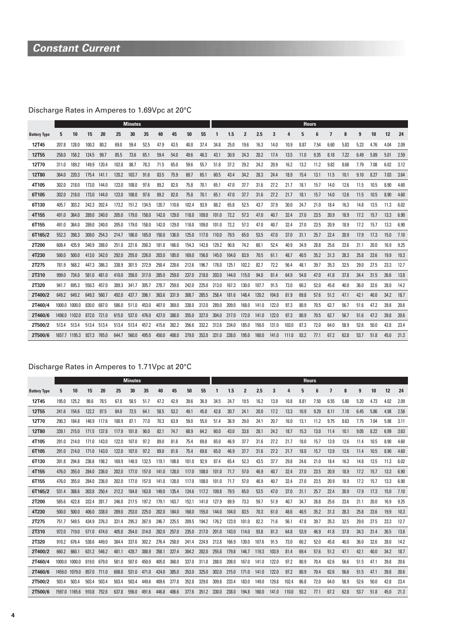# **Constant Current**

# Discharge Rates in Amperes to 1.69Vpc at 20°C

|                     |        |        |       |       |       | <b>Minutes</b> |       |       |       |       |       |       |       |                |       |       |       | <b>Hours</b> |      |      |      |      |      |      |      |
|---------------------|--------|--------|-------|-------|-------|----------------|-------|-------|-------|-------|-------|-------|-------|----------------|-------|-------|-------|--------------|------|------|------|------|------|------|------|
| <b>Battery Type</b> | 5      | 10     | 15    | 20    | 25    | 30             | 35    | 40    | 45    | 50    | 55    |       | 1.5   | $\overline{2}$ | 2.5   | 3     | 4     | 5            | ĥ    | 7    | 8    | 9    | 10   | 12   | 24   |
| 12T45               | 207.8  | 128.0  | 100.3 | 80.2  | 69.0  | 59.4           | 52.5  | 47.9  | 43.5  | 40.0  | 37.4  | 34.8  | 25.0  | 19.6           | 16.3  | 14.0  | 10.9  | 8.87         | 7.54 | 6.60 | 5.83 | 5.23 | 4.76 | 4.04 | 2.09 |
| 12T55               | 258.0  | 158.2  | 124.5 | 99.7  | 85.5  | 73.6           | 65.1  | 59.4  | 54.0  | 49.6  | 46.3  | 43.1  | 30.9  | 24.3           | 20.2  | 17.4  | 13.5  | 11.0         | 9.35 | 8.18 | 7.22 | 6.49 | 5.89 | 5.01 | 2.59 |
| 12T70               | 311.0  | 189.2  | 149.9 | 120.4 | 102.8 | 88.7           | 78.3  | 71.5  | 65.0  | 59.6  | 55.7  | 51.8  | 37.2  | 29.2           | 24.2  | 20.9  | 16.2  | 13.2         | 11.2 | 9.82 | 8.68 | 7.79 | 7.08 | 6.02 | 3.12 |
| <b>12T80</b>        | 364.0  | 220.3  | 175.4 | 141.1 | 120.2 | 103.7          | 91.6  | 83.5  | 75.9  | 69.7  | 65.1  | 60.5  | 43.4  | 34.2           | 28.3  | 24.4  | 18.9  | 15.4         | 13.1 | 11.5 | 10.1 | 9.10 | 8.27 | 7.03 | 3.64 |
| 4T105               | 302.0  | 218.0  | 173.0 | 144.0 | 123.0 | 108.0          | 97.6  | 89.2  | 82.0  | 75.8  | 70.1  | 65.1  | 47.0  | 37.7           | 31.6  | 27.2  | 21.7  | 18.1         | 15.7 | 14.0 | 12.6 | 11.5 | 10.5 | 8.90 | 4.60 |
| 6T105               | 302.0  | 218.0  | 173.0 | 144.0 | 123.0 | 108.0          | 97.6  | 89.2  | 82.0  | 75.8  | 70.1  | 65.1  | 47.0  | 37.7           | 31.6  | 27.2  | 21.7  | 18.1         | 15.7 | 14.0 | 12.6 | 11.5 | 10.5 | 8.90 | 4.60 |
| 6T130               | 405.7  | 303.2  | 242.3 | 202.4 | 173.2 | 151.2          | 134.5 | 120.7 | 110.6 | 102.4 | 93.9  | 88.2  | 65.8  | 52.5           | 43.7  | 37.9  | 30.0  | 24.7         | 21.0 | 18.4 | 16.3 | 14.8 | 13.5 | 11.3 | 6.02 |
| 4T155               | 491.0  | 364.0  | 289.0 | 240.0 | 205.0 | 179.0          | 158.0 | 142.0 | 129.0 | 118.0 | 109.0 | 101.0 | 72.2  | 57.3           | 47.0  | 40.7  | 32.4  | 27.0         | 23.5 | 20.9 | 18.9 | 17.2 | 15.7 | 13.3 | 6.90 |
| 6T155               | 491.0  | 364.0  | 289.0 | 240.0 | 205.0 | 179.0          | 158.0 | 142.0 | 129.0 | 118.0 | 109.0 | 101.0 | 72.2  | 57.3           | 47.0  | 40.7  | 32.4  | 27.0         | 23.5 | 20.9 | 18.9 | 17.2 | 15.7 | 13.3 | 6.90 |
| 6T165/2             | 552.3  | 398.3  | 309.0 | 254.3 | 214.7 | 186.0          | 165.0 | 150.0 | 136.0 | 125.0 | 117.0 | 110.0 | 79.5  | 65.0           | 53.5  | 47.0  | 37.0  | 31.1         | 25.7 | 22.4 | 20.9 | 17.9 | 17.3 | 15.0 | 7.10 |
| 2T200               | 608.4  | 435.9  | 340.9 | 288.0 | 251.0 | 221.6          | 200.3 | 181.8 | 166.0 | 154.3 | 142.8 | 129.2 | 90.8  | 74.2           | 60.1  | 52.4  | 40.9  | 34.9         | 28.8 | 25.6 | 23.6 | 21.1 | 20.0 | 16.9 | 9.25 |
| 4T230               | 500.0  | 500.0  | 413.0 | 342.0 | 292.0 | 255.0          | 226.0 | 203.0 | 185.0 | 169.0 | 156.0 | 145.0 | 104.0 | 83.9           | 70.5  | 61.1  | 48.7  | 40.5         | 35.2 | 31.3 | 28.3 | 25.8 | 23.6 | 19.9 | 10.3 |
| 2T275               | 781.9  | 568.2  | 447.3 | 386.3 | 338.9 | 301.5          | 272.9 | 250.4 | 228.6 | 212.6 | 196.7 | 178.0 | 125.1 | 102.2          | 82.7  | 72.2  | 56.4  | 48.1         | 39.7 | 35.3 | 32.5 | 29.0 | 27.5 | 23.3 | 12.7 |
| 2T310               | 999.0  | 734.0  | 581.0 | 481.0 | 410.0 | 358.0          | 317.0 | 285.0 | 259.0 | 237.0 | 218.0 | 203.0 | 144.0 | 115.0          | 94.0  | 81.4  | 64.9  | 54.0         | 47.0 | 41.8 | 37.8 | 34.4 | 31.5 | 26.6 | 13.8 |
| 2T320               | 941.7  | 695.3  | 550.3 | 457.0 | 389.3 | 341.7          | 305.7 | 278.7 | 259.0 | 242.0 | 225.0 | 213.0 | 167.3 | 130.0          | 107.7 | 91.5  | 73.0  | 60.2         | 52.0 | 45.8 | 40.0 | 36.0 | 32.6 | 28.0 | 14.2 |
| 2T400/2             | 649.2  | 649.2  | 649.3 | 560.7 | 492.0 | 437.7          | 396.1 | 363.6 | 331.9 | 308.7 | 285.5 | 258.4 | 181.6 | 148.4          | 120.2 | 104.8 | 81.9  | 69.8         | 57.6 | 51.2 | 47.1 | 42.1 | 40.0 | 34.2 | 18.7 |
| 2T460/4             | 1000.0 | 1000.0 | 830.0 | 687.0 | 586.0 | 511.0          | 453.0 | 407.0 | 369.0 | 338.0 | 312.0 | 289.0 | 209.0 | 168.0          | 141.0 | 122.0 | 97.3  | 80.9         | 70.5 | 62.7 | 56.7 | 51.6 | 47.2 | 39.8 | 20.6 |
| 2T460/6             | 1498.0 | 1102.0 | 872.0 | 721.0 | 615.0 | 537.0          | 476.0 | 427.0 | 388.0 | 355.0 | 327.0 | 304.0 | 217.0 | 172.0          | 141.0 | 122.0 | 97.3  | 80.9         | 70.5 | 62.7 | 56.7 | 51.6 | 47.2 | 39.8 | 20.6 |
| 2T500/2             | 513.4  | 513.4  | 513.4 | 513.4 | 513.4 | 513.4          | 457.2 | 415.6 | 382.2 | 356.6 | 332.2 | 312.6 | 234.0 | 185.0          | 150.0 | 131.0 | 103.0 | 87.3         | 72.0 | 64.0 | 58.9 | 52.6 | 50.0 | 42.8 | 23.4 |
| 2T500/6             | 1657.7 | 1195.3 | 927.3 | 765.0 | 644.7 | 560.0          | 495.0 | 450.0 | 408.0 | 379.0 | 352.0 | 331.0 | 238.0 | 195.0          | 160.0 | 141.0 | 111.0 | 93.2         | 77.1 | 67.2 | 62.8 | 53.7 | 51.8 | 45.0 | 21.3 |

### Discharge Rates in Amperes to 1.71Vpc at 20°C

|                     |               |       |       |       |       | <b>Minutes</b> |       |       |       |       |       |       |       |                |       |       |       | <b>Hours</b> |      |                         |      |      |      |      |      |
|---------------------|---------------|-------|-------|-------|-------|----------------|-------|-------|-------|-------|-------|-------|-------|----------------|-------|-------|-------|--------------|------|-------------------------|------|------|------|------|------|
| <b>Battery Type</b> | 5             | 10    | 15    | 20    | 25    | 30             | 35    | 40    | 45    | 50    | 55    | 1     | 1.5   | $\overline{2}$ | 2.5   | 3     | 4     | 5            | 6    | $\overline{\mathbf{z}}$ | 8    | 9    | 10   | 12   | 24   |
| 12T45               | 195.0         | 125.2 | 98.6  | 78.5  | 67.8  | 58.5           | 51.7  | 47.2  | 42.9  | 39.6  | 36.9  | 34.5  | 24.7  | 19.5           | 16.2  | 13.9  | 10.8  | 8.81         | 7.50 | 6.55                    | 5.80 | 5.20 | 4.73 | 4.02 | 2.09 |
| 12T <sub>55</sub>   | 241.6         | 154.6 | 122.2 | 97.5  | 84.0  | 72.5           | 64.1  | 58.5  | 53.2  | 49.1  | 45.8  | 42.8  | 30.7  | 24.1           | 20.0  | 17.2  | 13.3  | 10.9         | 9.29 | 8.11                    | 7.18 | 6.45 | 5.86 | 4.98 | 2.58 |
| 12T70               | 290.3         | 184.8 | 146.9 | 117.6 | 100.9 | 87.1           | 77.0  | 70.3  | 63.9  | 59.0  | 55.0  | 51.4  | 36.9  | 29.0           | 24.1  | 20.7  | 16.0  | 13.1         | 11.2 | 9.75                    | 8.63 | 7.75 | 7.04 | 5.98 | 3.11 |
| 12T80               | 339.1         | 215.0 | 171.5 | 137.8 | 117.9 | 101.8          | 90.0  | 82.1  | 74.7  | 68.9  | 64.2  | 60.0  | 43.0  | 33.8           | 28.1  | 24.2  | 18.7  | 15.3         | 13.0 | 11.4                    | 10.1 | 9.05 | 8.22 | 6.99 | 3.63 |
| 4T105               | 291.0         | 214.0 | 171.0 | 143.0 | 122.0 | 107.0          | 97.2  | 89.0  | 81.6  | 75.4  | 69.8  | 65.0  | 46.9  | 37.7           | 31.6  | 27.2  | 21.7  | 18.0         | 15.7 | 13.9                    | 12.6 | 11.4 | 10.5 | 8.90 | 4.60 |
| 6T105               | 291.0         | 214.0 | 171.0 | 143.0 | 122.0 | 107.0          | 97.2  | 89.0  | 81.6  | 75.4  | 69.8  | 65.0  | 46.9  | 37.7           | 31.6  | 27.2  | 21.7  | 18.0         | 15.7 | 13.9                    | 12.6 | 11.4 | 10.5 | 8.90 | 4.60 |
| 6T130               | 391.8         | 294.8 | 236.8 | 198.2 | 169.9 | 148.9          | 132.5 | 119.1 | 108.8 | 101.0 | 92.9  | 87.4  | 65.4  | 52.3           | 43.5  | 37.7  | 29.8  | 24.6         | 21.0 | 18.4                    | 16.3 | 14.8 | 13.5 | 11.3 | 6.02 |
| 4T155               | 476.0         | 355.0 | 284.0 | 236.0 | 202.0 | 177.0          | 157.0 | 141.0 | 128.0 | 117.0 | 108.0 | 101.0 | 71.7  | 57.0           | 46.9  | 40.7  | 32.4  | 27.0         | 23.5 | 20.9                    | 18.9 | 17.2 | 15.7 | 13.3 | 6.90 |
| 6T155               | 476.0         | 355.0 | 284.0 | 236.0 | 202.0 | 177.0          | 157.0 | 141.0 | 128.0 | 117.0 | 108.0 | 101.0 | 71.7  | 57.0           | 46.9  | 40.7  | 32.4  | 27.0         | 23.5 | 20.9                    | 18.9 | 17.2 | 15.7 | 13.3 | 6.90 |
| 6T165/2             | 531.4         | 388.6 | 303.8 | 250.4 | 212.2 | 184.8          | 163.8 | 149.0 | 135.4 | 124.6 | 117.2 | 109.8 | 79.5  | 65.0           | 53.5  | 47.0  | 37.0  | 31.1         | 25.7 | 22.4                    | 20.9 | 17.9 | 17.3 | 15.0 | 7.10 |
| 2T200               | 585.6         | 422.8 | 332.4 | 281.7 | 246.0 | 217.5          | 197.2 | 179.1 | 163.7 | 152.1 | 141.0 | 127.9 | 89.9  | 73.3           | 59.7  | 51.9  | 40.7  | 34.7         | 28.8 | 25.6                    | 23.6 | 21.1 | 20.0 | 16.9 | 9.25 |
| 4T230               | 500.0         | 500.0 | 406.0 | 338.0 | 289.0 | 253.0          | 225.0 | 202.0 | 184.0 | 168.0 | 155.0 | 144.0 | 104.0 | 83.5           | 70.3  | 61.0  | 48.6  | 40.5         | 35.2 | 31.3                    | 28.3 | 25.8 | 23.6 | 19.9 | 10.3 |
| 2T275               | 751.7         | 549.5 | 434.9 | 376.3 | 331.4 | 295.3          | 267.9 | 246.7 | 225.5 | 209.5 | 194.2 | 176.2 | 123.9 | 101.0          | 82.2  | 71.6  | 56.1  | 47.8         | 39.7 | 35.3                    | 32.5 | 29.0 | 27.5 | 23.3 | 12.7 |
| 2T310               | 972.0         | 719.0 | 571.0 | 474.0 | 405.0 | 354.0          | 314.0 | 282.0 | 257.0 | 235.0 | 217.0 | 201.0 | 143.0 | 114.0          | 93.8  | 81.3  | 64.8  | 53.9         | 46.9 | 41.8                    | 37.8 | 34.3 | 31.4 | 26.5 | 13.8 |
| 2T320               | 910.2         | 676.4 | 538.6 | 449.0 | 384.4 | 337.6          | 302.2 | 276.4 | 258.0 | 241.4 | 224.9 | 212.8 | 166.9 | 130.0          | 107.6 | 91.5  | 73.0  | 60.2         | 52.0 | 45.8                    | 40.0 | 36.0 | 32.6 | 28.0 | 14.2 |
| 2T400/2             | 660.2         | 660.1 | 631.2 | 546.2 | 481.1 | 428.7          | 388.9 | 358.1 | 327.4 | 304.2 | 282.0 | 255.8 | 179.8 | 146.7          | 119.3 | 103.9 | 81.4  | 69.4         | 57.6 | 51.2                    | 47.1 | 42.1 | 40.0 | 34.2 | 18.7 |
| 2T460/4             | 1000.0 1000.0 |       | 819.0 | 679.0 | 581.0 | 507.0          | 450.0 | 405.0 | 368.0 | 337.0 | 311.0 | 288.0 | 208.0 | 167.0          | 141.0 | 122.0 | 97.2  | 80.9         | 70.4 | 62.6                    | 56.6 | 51.5 | 47.1 | 39.8 | 20.6 |
| 2T460/6             | 1459.0 1079.0 |       | 857.0 | 711.0 | 608.0 | 531.0          | 471.0 | 424.0 | 385.0 | 353.0 | 325.0 | 302.0 | 215.0 | 171.0          | 141.0 | 122.0 | 97.2  | 80.9         | 70.4 | 62.6                    | 56.6 | 51.5 | 47.1 | 39.8 | 20.6 |
| 2T500/2             | 503.4         | 503.4 | 503.4 | 503.4 | 503.4 | 503.4          | 449.6 | 409.6 | 377.8 | 352.8 | 329.0 | 309.8 | 233.4 | 183.0          | 149.0 | 129.8 | 102.4 | 86.8         | 72.0 | 64.0                    | 58.9 | 52.6 | 50.0 | 42.8 | 23.4 |
| 2T500/6             | 1597.0 1165.6 |       | 910.8 | 752.6 | 637.8 | 556.0          | 491.6 | 446.8 | 406.6 | 377.6 | 351.2 | 330.0 | 238.0 | 194.8          | 160.0 | 141.0 | 110.0 | 93.2         | 77.1 | 67.2                    | 62.8 | 53.7 | 51.8 | 45.0 | 21.3 |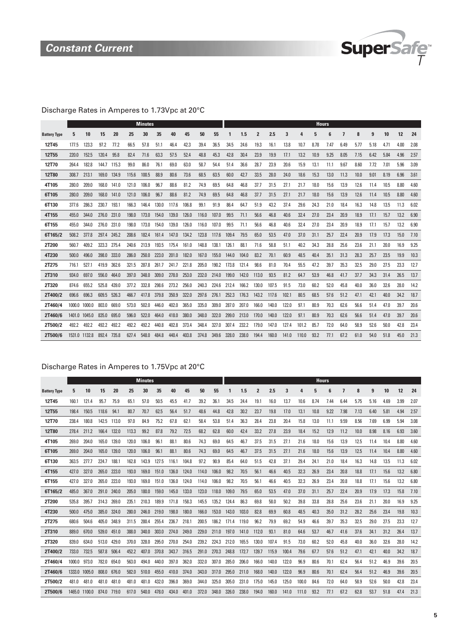

### Discharge Rates in Amperes to 1.73Vpc at 20°C

|                     |        |               |       |       |       | <b>Minutes</b> |       |       |       |       |       |       |       |                |       |       |       |      | <b>Hours</b> |      |      |      |      |      |      |
|---------------------|--------|---------------|-------|-------|-------|----------------|-------|-------|-------|-------|-------|-------|-------|----------------|-------|-------|-------|------|--------------|------|------|------|------|------|------|
| <b>Battery Type</b> | 5      | 10            | 15    | 20    | 25    | 30             | 35    | 40    | 45    | 50    | 55    |       | 1.5   | $\overline{2}$ | 2.5   | 3     |       | 5    |              | 7    | 8    | 9    | 10   | 12   | 24   |
| 12T45               | 177.5  | 123.3         | 97.2  | 77.2  | 66.5  | 57.8           | 51.1  | 46.4  | 42.3  | 39.4  | 36.5  | 34.5  | 24.6  | 19.3           | 16.1  | 13.8  | 10.7  | 8.78 | 7.47         | 6.49 | 5.77 | 5.18 | 4.71 | 4.00 | 2.08 |
| <b>12T55</b>        | 220.0  | 152.5         | 120.4 | 95.8  | 82.4  | 71.6           | 63.3  | 57.5  | 52.4  | 48.8  | 45.3  | 42.8  | 30.4  | 23.9           | 19.9  | 17.1  | 13.2  | 10.9 | 9.25         | 8.05 | 7.15 | 6.42 | 5.84 | 4.96 | 2.57 |
| 12T70               | 264.4  | 182.8         | 144.7 | 115.3 | 99.0  | 86.0           | 76.1  | 69.0  | 63.0  | 58.7  | 54.4  | 51.4  | 36.6  | 28.7           | 23.9  | 20.6  | 15.9  | 13.1 | 11.1         | 9.67 | 8.60 | 7.72 | 7.01 | 5.96 | 3.09 |
| <b>12T80</b>        | 308.7  | 213.1         | 169.0 | 134.9 | 115.6 | 100.5          | 88.9  | 80.6  | 73.6  | 68.5  | 63.5  | 60.0  | 42.7  | 33.5           | 28.0  | 24.0  | 18.6  | 15.3 | 13.0         | 11.3 | 10.0 | 9.01 | 8.19 | 6.96 | 3.61 |
| 4T105               | 280.0  | 209.0         | 168.0 | 141.0 | 121.0 | 106.0          | 96.7  | 88.6  | 81.2  | 74.9  | 69.5  | 64.8  | 46.8  | 37.7           | 31.5  | 27.1  | 21.7  | 18.0 | 15.6         | 13.9 | 12.6 | 11.4 | 10.5 | 8.80 | 4.60 |
| 6T105               | 280.0  | 209.0         | 168.0 | 141.0 | 121.0 | 106.0          | 96.7  | 88.6  | 81.2  | 74.9  | 69.5  | 64.8  | 46.8  | 37.7           | 31.5  | 27.1  | 21.7  | 18.0 | 15.6         | 13.9 | 12.6 | 11.4 | 10.5 | 8.80 | 4.60 |
| 6T130               | 377.6  | 286.3         | 230.7 | 193.1 | 166.3 | 146.4          | 130.0 | 117.6 | 106.8 | 99.1  | 91.9  | 86.4  | 64.7  | 51.9           | 43.2  | 37.4  | 29.6  | 24.3 | 21.0         | 18.4 | 16.3 | 14.8 | 13.5 | 11.3 | 6.02 |
| 4T155               | 455.0  | 344.0         | 276.0 | 231.0 | 198.0 | 173.0          | 154.0 | 139.0 | 126.0 | 116.0 | 107.0 | 99.5  | 71.1  | 56.6           | 46.8  | 40.6  | 32.4  | 27.0 | 23.4         | 20.9 | 18.9 | 17.1 | 15.7 | 13.2 | 6.90 |
| 6T155               | 455.0  | 344.0         | 276.0 | 231.0 | 198.0 | 173.0          | 154.0 | 139.0 | 126.0 | 116.0 | 107.0 | 99.5  | 71.1  | 56.6           | 46.8  | 40.6  | 32.4  | 27.0 | 23.4         | 20.9 | 18.9 | 17.1 | 15.7 | 13.2 | 6.90 |
| 6T165/2             | 508.2  | 377.8         | 297.4 | 245.2 | 208.6 | 182.4          | 161.4 | 147.0 | 134.2 | 123.8 | 117.6 | 109.4 | 79.5  | 65.0           | 53.5  | 47.0  | 37.0  | 31.1 | 25.7         | 22.4 | 20.9 | 17.9 | 17.3 | 15.0 | 7.10 |
| 2T200               | 560.7  | 409.2         | 323.3 | 275.4 | 240.6 | 213.9          | 193.5 | 175.4 | 161.0 | 148.8 | 138.1 | 126.1 | 88.1  | 71.6           | 58.8  | 51.1  | 40.2  | 34.3 | 28.8         | 25.6 | 23.6 | 21.1 | 20.0 | 16.9 | 9.25 |
| 4T230               | 500.0  | 496.0         | 398.0 | 333.0 | 286.0 | 250.0          | 223.0 | 201.0 | 182.0 | 167.0 | 155.0 | 144.0 | 104.0 | 83.2           | 70.1  | 60.9  | 48.5  | 40.4 | 35.1         | 31.3 | 28.3 | 25.7 | 23.5 | 19.9 | 10.3 |
| 2T275               | 716.1  | 527.1         | 419.9 | 362.6 | 321.5 | 287.8          | 261.7 | 241.7 | 221.8 | 205.0 | 190.2 | 173.8 | 121.4 | 98.6           | 81.0  | 70.4  | 55.5  | 47.2 | 39.7         | 35.3 | 32.5 | 29.0 | 27.5 | 23.3 | 12.7 |
| 2T310               | 934.0  | 697.0         | 556.0 | 464.0 | 397.0 | 348.0          | 309.0 | 278.0 | 253.0 | 232.0 | 214.0 | 199.0 | 142.0 | 113.0          | 93.5  | 81.2  | 64.7  | 53.9 | 46.8         | 41.7 | 37.7 | 34.3 | 31.4 | 26.5 | 13.7 |
| 2T320               | 874.6  | 655.2         | 525.8 | 439.0 | 377.2 | 332.8          | 298.6 | 273.2 | 256.0 | 240.3 | 224.6 | 212.4 | 166.2 | 130.0          | 107.5 | 91.5  | 73.0  | 60.2 | 52.0         | 45.8 | 40.0 | 36.0 | 32.6 | 28.0 | 14.2 |
| 2T400/2             | 696.6  | 696.3         | 609.5 | 526.3 | 466.7 | 417.8          | 379.8 | 350.9 | 322.0 | 297.6 | 276.1 | 252.3 | 176.3 | 143.2          | 117.6 | 102.1 | 80.5  | 68.5 | 57.6         | 51.2 | 47.1 | 42.1 | 40.0 | 34.2 | 18.7 |
| 2T460/4             | 1000.0 | 1000.0        | 803.0 | 669.0 | 573.0 | 502.0          | 446.0 | 402.0 | 365.0 | 335.0 | 309.0 | 287.0 | 207.0 | 166.0          | 140.0 | 122.0 | 97.1  | 80.9 | 70.3         | 62.6 | 56.6 | 51.4 | 47.0 | 39.7 | 20.6 |
| 2T460/6             | 1401.0 | 1045.0        | 835.0 | 695.0 | 596.0 | 522.0          | 464.0 | 418.0 | 380.0 | 348.0 | 322.0 | 299.0 | 213.0 | 170.0          | 140.0 | 122.0 | 97.1  | 80.9 | 70.3         | 62.6 | 56.6 | 51.4 | 47.0 | 39.7 | 20.6 |
| 2T500/2             | 492.2  | 492.2         | 492.2 | 492.2 | 492.2 | 492.2          | 440.8 | 402.8 | 373.4 | 348.4 | 327.0 | 307.4 | 232.2 | 179.0          | 147.0 | 127.4 | 101.2 | 85.7 | 72.0         | 64.0 | 58.9 | 52.6 | 50.0 | 42.8 | 23.4 |
| 2T500/6             |        | 1531.0 1132.8 | 892.4 | 735.8 | 627.4 | 548.0          | 484.8 | 440.4 | 403.8 | 374.8 | 349.6 | 328.0 | 238.0 | 194.4          | 160.0 | 141.0 | 110.0 | 93.2 | 77.1         | 67.2 | 61.0 | 54.0 | 51.8 | 45.0 | 21.3 |

### Discharge Rates in Amperes to 1.75Vpc at 20°C

|                     |        |               |       |       |       | <b>Minutes</b> |       |       |       |       |       |       |       |                |       |       |       |      | <b>Hours</b> |                |      |      |      |      |      |
|---------------------|--------|---------------|-------|-------|-------|----------------|-------|-------|-------|-------|-------|-------|-------|----------------|-------|-------|-------|------|--------------|----------------|------|------|------|------|------|
| <b>Battery Type</b> | 5      | 10            | 15    | 20    | 25    | 30             | 35    | 40    | 45    | 50    | 55    |       | 1.5   | $\overline{2}$ | 2.5   | 3     | 4     | 5    | 6            | $\overline{ }$ | 8    | 9    | 10   | 12   | 24   |
| 12T45               | 160.1  | 121.4         | 95.7  | 75.9  | 65.7  | 57.0           | 50.5  | 45.5  | 41.7  | 39.2  | 36.1  | 34.5  | 24.4  | 19.1           | 16.0  | 13.7  | 10.6  | 8.74 | 7.44         | 6.44           | 5.75 | 5.16 | 4.69 | 3.99 | 2.07 |
| 12T55               | 198.4  | 150.5         | 118.6 | 94.1  | 80.7  | 70.7           | 62.5  | 56.4  | 51.7  | 48.6  | 44.8  | 42.8  | 30.2  | 23.7           | 19.8  | 17.0  | 13.1  | 10.8 | 9.22         | 7.98           | 7.13 | 6.40 | 5.81 | 4.94 | 2.57 |
| 12T70               | 238.4  | 180.8         | 142.5 | 113.0 | 97.0  | 84.9           | 75.2  | 67.8  | 62.1  | 58.4  | 53.8  | 51.4  | 36.3  | 28.4           | 23.8  | 20.4  | 15.8  | 13.0 | 11.1         | 9.59           | 8.56 | 7.69 | 6.99 | 5.94 | 3.08 |
| <b>12T80</b>        | 278.4  | 211.2         | 166.4 | 132.0 | 113.3 | 99.2           | 87.8  | 79.2  | 72.5  | 68.2  | 62.8  | 60.0  | 42.4  | 33.2           | 27.8  | 23.9  | 18.4  | 15.2 | 12.9         | 11.2           | 10.0 | 8.98 | 8.16 | 6.93 | 3.60 |
| 4T105               | 269.0  | 204.0         | 165.0 | 139.0 | 120.0 | 106.0          | 96.1  | 88.1  | 80.6  | 74.3  | 69.0  | 64.5  | 46.7  | 37.5           | 31.5  | 27.1  | 21.6  | 18.0 | 15.6         | 13.9           | 12.5 | 11.4 | 10.4 | 8.80 | 4.60 |
| 6T105               | 269.0  | 204.0         | 165.0 | 139.0 | 120.0 | 106.0          | 96.1  | 88.1  | 80.6  | 74.3  | 69.0  | 64.5  | 46.7  | 37.5           | 31.5  | 27.1  | 21.6  | 18.0 | 15.6         | 13.9           | 12.5 | 11.4 | 10.4 | 8.80 | 4.60 |
| 6T130               | 363.5  | 277.7         | 224.7 | 188.1 | 162.8 | 143.9          | 127.5 | 116.1 | 104.8 | 97.2  | 90.9  | 85.4  | 64.0  | 51.5           | 42.8  | 37.1  | 29.4  | 24.1 | 21.0         | 18.4           | 16.3 | 14.8 | 13.5 | 11.3 | 6.02 |
| 4T155               | 427.0  | 327.0         | 265.0 | 223.0 | 193.0 | 169.0          | 151.0 | 136.0 | 124.0 | 114.0 | 106.0 | 98.2  | 70.5  | 56.1           | 46.6  | 40.5  | 32.3  | 26.9 | 23.4         | 20.8           | 18.8 | 17.1 | 15.6 | 13.2 | 6.80 |
| 6T155               | 427.0  | 327.0         | 265.0 | 223.0 | 193.0 | 169.0          | 151.0 | 136.0 | 124.0 | 114.0 | 106.0 | 98.2  | 70.5  | 56.1           | 46.6  | 40.5  | 32.3  | 26.9 | 23.4         | 20.8           | 18.8 | 17.1 | 15.6 | 13.2 | 6.80 |
| 6T165/2             | 485.0  | 367.0         | 291.0 | 240.0 | 205.0 | 180.0          | 159.0 | 145.0 | 133.0 | 123.0 | 118.0 | 109.0 | 79.5  | 65.0           | 53.5  | 47.0  | 37.0  | 31.1 | 25.7         | 22.4           | 20.9 | 17.9 | 17.3 | 15.8 | 7.10 |
| 2T200               | 535.8  | 395.7         | 314.3 | 269.0 | 235.1 | 210.3          | 189.9 | 171.8 | 158.3 | 145.5 | 135.2 | 124.4 | 86.3  | 69.8           | 58.0  | 50.2  | 39.8  | 33.8 | 28.8         | 25.6           | 23.6 | 21.1 | 20.0 | 16.9 | 9.25 |
| 4T230               | 500.0  | 475.0         | 385.0 | 324.0 | 280.0 | 246.0          | 219.0 | 198.0 | 180.0 | 166.0 | 153.0 | 143.0 | 103.0 | 82.8           | 69.9  | 60.8  | 48.5  | 40.3 | 35.0         | 31.2           | 28.2 | 25.6 | 23.4 | 19.8 | 10.3 |
| 2T275               | 680.6  | 504.6         | 405.0 | 348.9 | 311.5 | 280.4          | 255.4 | 236.7 | 218.1 | 200.5 | 186.2 | 171.4 | 119.0 | 96.2           | 79.9  | 69.2  | 54.9  | 46.6 | 39.7         | 35.3           | 32.5 | 29.0 | 27.5 | 23.3 | 12.7 |
| 2T310               | 889.0  | 670.0         | 539.0 | 451.0 | 388.0 | 340.0          | 303.0 | 274.0 | 249.0 | 229.0 | 211.0 | 197.0 | 141.0 | 112.0          | 93.1  | 81.0  | 64.6  | 53.7 | 46.7         | 41.6           | 37.6 | 34.1 | 31.2 | 26.4 | 13.7 |
| 2T320               | 839.0  | 634.0         | 513.0 | 429.0 | 370.0 | 328.0          | 295.0 | 270.0 | 254.0 | 239.2 | 224.3 | 212.0 | 165.5 | 130.0          | 107.4 | 91.5  | 73.0  | 60.2 | 52.0         | 45.8           | 40.0 | 36.0 | 32.6 | 28.0 | 14.2 |
| 2T400/2             | 733.0  | 732.5         | 587.8 | 506.4 | 452.2 | 407.0          | 370.8 | 343.7 | 316.5 | 291.0 | 270.3 | 248.8 | 172.7 | 139.7          | 115.9 | 100.4 | 79.6  | 67.7 | 57.6         | 51.2           | 47.1 | 42.1 | 40.0 | 34.2 | 18.7 |
| 2T460/4             | 1000.0 | 973.0         | 782.0 | 654.0 | 563.0 | 494.0          | 440.0 | 397.0 | 362.0 | 332.0 | 307.0 | 285.0 | 206.0 | 166.0          | 140.0 | 122.0 | 96.9  | 80.6 | 70.1         | 62.4           | 56.4 | 51.2 | 46.9 | 39.6 | 20.5 |
| 2T460/6             | 1333.0 | 1005.0        | 808.0 | 676.0 | 582.0 | 510.0          | 455.0 | 410.0 | 374.0 | 343.0 | 317.0 | 295.0 | 211.0 | 168.0          | 140.0 | 122.0 | 96.9  | 80.6 | 70.1         | 62.4           | 56.4 | 51.2 | 46.9 | 39.6 | 20.5 |
| 2T500/2             | 481.0  | 481.0         | 481.0 | 481.0 | 481.0 | 481.0          | 432.0 | 396.0 | 369.0 | 344.0 | 325.0 | 305.0 | 231.0 | 175.0          | 145.0 | 125.0 | 100.0 | 84.6 | 72.0         | 64.0           | 58.9 | 52.6 | 50.0 | 42.8 | 23.4 |
| 2T500/6             |        | 1465.0 1100.0 | 874.0 | 719.0 | 617.0 | 540.0          | 478.0 | 434.0 | 401.0 | 372.0 | 348.0 | 326.0 | 238.0 | 194.0          | 160.0 | 141.0 | 111.0 | 93.2 | 77.1         | 67.2           | 62.8 | 53.7 | 51.8 | 47.4 | 21.3 |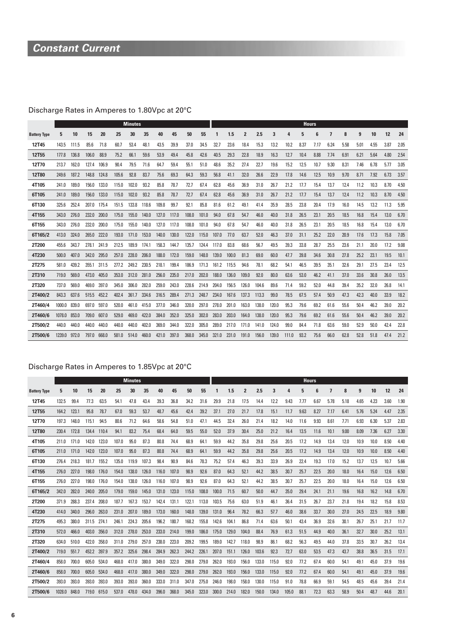# **Constant Current**

# Discharge Rates in Amperes to 1.80Vpc at 20°C

|                     |        |       |       |       |       | <b>Minutes</b> |       |       |       |       |       |       |       |                |       |       |       | <b>Hours</b> |      |      |      |      |      |      |      |
|---------------------|--------|-------|-------|-------|-------|----------------|-------|-------|-------|-------|-------|-------|-------|----------------|-------|-------|-------|--------------|------|------|------|------|------|------|------|
| <b>Battery Type</b> | 5      | 10    | 15    | 20    | 25    | 30             | 35    | 40    | 45    | 50    | 55    |       | 1.5   | $\overline{2}$ | 2.5   | 3     | 4     | 5            | ĥ    | 7    | 8    | 9    | 10   | 12   | 24   |
| 12T45               | 143.5  | 111.5 | 85.6  | 71.8  | 60.7  | 53.4           | 48.1  | 43.5  | 39.9  | 37.0  | 34.5  | 32.7  | 23.6  | 18.4           | 15.3  | 13.2  | 10.2  | 8.37         | 7.17 | 6.24 | 5.58 | 5.01 | 4.55 | 3.87 | 2.05 |
| 12T <sub>55</sub>   | 177.8  | 136.8 | 106.0 | 88.9  | 75.2  | 66.1           | 59.6  | 53.9  | 49.4  | 45.8  | 42.6  | 40.5  | 29.3  | 22.8           | 18.9  | 16.3  | 12.7  | 10.4         | 8.88 | 7.74 | 6.91 | 6.21 | 5.64 | 4.80 | 2.54 |
| 12T70               | 213.7  | 162.0 | 127.4 | 106.9 | 90.4  | 79.5           | 71.6  | 64.7  | 59.4  | 55.1  | 51.0  | 48.6  | 35.2  | 27.4           | 22.7  | 19.6  | 15.2  | 12.5         | 10.7 | 9.30 | 8.31 | 7.46 | 6.78 | 5.77 | 3.05 |
| 12T80               | 249.6  | 187.2 | 148.8 | 124.8 | 105.6 | 92.8           | 83.7  | 75.6  | 69.3  | 64.3  | 59.3  | 56.8  | 41.1  | 32.0           | 26.6  | 22.9  | 17.8  | 14.6         | 12.5 | 10.9 | 9.70 | 8.71 | 7.92 | 6.73 | 3.57 |
| 4T105               | 241.0  | 189.0 | 156.0 | 133.0 | 115.0 | 102.0          | 93.2  | 85.8  | 78.7  | 72.7  | 67.4  | 62.8  | 45.6  | 36.9           | 31.0  | 26.7  | 21.2  | 17.7         | 15.4 | 13.7 | 12.4 | 11.2 | 10.3 | 8.70 | 4.50 |
| 6T105               | 241.0  | 189.0 | 156.0 | 133.0 | 115.0 | 102.0          | 93.2  | 85.8  | 78.7  | 72.7  | 67.4  | 62.8  | 45.6  | 36.9           | 31.0  | 26.7  | 21.2  | 17.7         | 15.4 | 13.7 | 12.4 | 11.2 | 10.3 | 8.70 | 4.50 |
| 6T130               | 325.6  | 252.4 | 207.0 | 175.4 | 151.5 | 133.8          | 118.6 | 109.8 | 99.7  | 92.1  | 85.8  | 81.6  | 61.2  | 49.1           | 41.4  | 35.9  | 28.5  | 23.8         | 20.4 | 17.9 | 16.0 | 14.5 | 13.2 | 11.3 | 5.95 |
| 4T155               | 343.0  | 276.0 | 232.0 | 200.0 | 175.0 | 155.0          | 140.0 | 127.0 | 117.0 | 108.0 | 101.0 | 94.0  | 67.8  | 54.7           | 46.0  | 40.0  | 31.8  | 26.5         | 23.1 | 20.5 | 18.5 | 16.8 | 15.4 | 13.0 | 6.70 |
| 6T155               | 343.0  | 276.0 | 232.0 | 200.0 | 175.0 | 155.0          | 140.0 | 127.0 | 117.0 | 108.0 | 101.0 | 94.0  | 67.8  | 54.7           | 46.0  | 40.0  | 31.8  | 26.5         | 23.1 | 20.5 | 18.5 | 16.8 | 15.4 | 13.0 | 6.70 |
| 6T165/2             | 413.0  | 324.0 | 265.0 | 222.0 | 193.0 | 171.0          | 153.0 | 140.0 | 130.0 | 122.0 | 115.0 | 107.0 | 77.0  | 63.7           | 52.0  | 46.3  | 37.0  | 31.1         | 25.2 | 22.0 | 20.9 | 17.6 | 17.3 | 15.8 | 7.05 |
| 2T200               | 455.6  | 343.7 | 278.1 | 241.9 | 212.5 | 189.9          | 174.1 | 158.3 | 144.7 | 135.7 | 124.4 | 117.0 | 83.8  | 68.6           | 56.7  | 49.5  | 39.3  | 33.8         | 28.7 | 25.5 | 23.6 | 21.1 | 20.0 | 17.2 | 9.08 |
| 4T230               | 500.0  | 407.0 | 342.0 | 295.0 | 257.0 | 228.0          | 206.0 | 188.0 | 172.0 | 159.0 | 148.0 | 139.0 | 100.0 | 81.3           | 69.0  | 60.0  | 47.7  | 39.8         | 34.6 | 30.8 | 27.8 | 25.2 | 23.1 | 19.5 | 10.1 |
| 2T275               | 581.0  | 439.2 | 355.1 | 311.5 | 277.2 | 249.2          | 230.5 | 218.1 | 199.4 | 186.9 | 171.3 | 161.2 | 115.5 | 94.6           | 78.1  | 68.2  | 54.1  | 46.5         | 39.5 | 35.1 | 32.6 | 29.1 | 27.5 | 23.4 | 12.5 |
| 2T310               | 719.0  | 569.0 | 473.0 | 405.0 | 353.0 | 312.0          | 281.0 | 256.0 | 235.0 | 217.0 | 202.0 | 188.0 | 136.0 | 109.0          | 92.0  | 80.0  | 63.6  | 53.0         | 46.2 | 41.1 | 37.0 | 33.6 | 30.8 | 26.0 | 13.5 |
| 2T320               | 737.0  | 569.0 | 469.0 | 397.0 | 345.0 | 306.0          | 282.0 | 259.0 | 243.0 | 228.6 | 214.9 | 204.0 | 156.5 | 126.0          | 104.6 | 89.6  | 71.4  | 59.2         | 52.0 | 44.8 | 39.4 | 35.2 | 32.0 | 26.8 | 14.1 |
| 2T400/2             | 843.3  | 637.6 | 515.5 | 452.2 | 402.4 | 361.7          | 334.6 | 316.5 | 289.4 | 271.3 | 248.7 | 234.0 | 167.6 | 137.3          | 113.3 | 99.0  | 78.5  | 67.5         | 57.4 | 50.9 | 47.3 | 42.3 | 40.0 | 33.9 | 18.2 |
| 2T460/4             | 1000.0 | 839.0 | 697.0 | 597.0 | 520.0 | 461.0          | 415.0 | 377.0 | 346.0 | 320.0 | 297.0 | 278.0 | 201.0 | 163.0          | 138.0 | 120.0 | 95.3  | 79.6         | 69.2 | 61.6 | 55.6 | 50.4 | 46.2 | 39.0 | 20.2 |
| 2T460/6             | 1078.0 | 853.0 | 709.0 | 607.0 | 529.0 | 469.0          | 422.0 | 384.0 | 352.0 | 325.0 | 302.0 | 283.0 | 203.0 | 164.0          | 138.0 | 120.0 | 95.3  | 79.6         | 69.2 | 61.6 | 55.6 | 50.4 | 46.2 | 39.0 | 20.2 |
| 2T500/2             | 440.0  | 440.0 | 440.0 | 440.0 | 440.0 | 440.0          | 402.0 | 369.0 | 344.0 | 322.0 | 305.0 | 289.0 | 217.0 | 171.0          | 141.0 | 124.0 | 99.0  | 84.4         | 71.8 | 63.6 | 59.0 | 52.9 | 50.0 | 42.4 | 22.8 |
| 2T500/6             | 1239.0 | 972.0 | 797.0 | 668.0 | 581.0 | 514.0          | 460.0 | 421.0 | 397.0 | 368.0 | 345.0 | 321.0 | 231.0 | 191.0          | 156.0 | 139.0 | 111.0 | 93.2         | 75.6 | 66.0 | 62.8 | 52.8 | 51.8 | 47.4 | 21.2 |

### Discharge Rates in Amperes to 1.85Vpc at 20°C

|                     |        |       |       |       |       | <b>Minutes</b> |       |       |       |       |       |       |       |                |       |       |       | <b>Hours</b> |      |      |      |      |      |      |      |
|---------------------|--------|-------|-------|-------|-------|----------------|-------|-------|-------|-------|-------|-------|-------|----------------|-------|-------|-------|--------------|------|------|------|------|------|------|------|
| <b>Battery Type</b> | 5      | 10    | 15    | 20    | 25    | 30             | 35    | 40    | 45    | 50    | 55    | 1     | 1.5   | $\overline{2}$ | 2.5   | 3     | 4     | 5            | 6    | 7    | 8    | 9    | 10   | 12   | 24   |
| 12T45               | 132.5  | 99.4  | 77.3  | 63.5  | 54.1  | 47.8           | 43.4  | 39.3  | 36.8  | 34.2  | 31.6  | 29.9  | 21.8  | 17.5           | 14.4  | 12.2  | 9.43  | 7.77         | 6.67 | 5.78 | 5.18 | 4.65 | 4.23 | 3.60 | 1.90 |
| <b>12T55</b>        | 164.2  | 123.1 | 95.8  | 78.7  | 67.0  | 59.3           | 53.7  | 48.7  | 45.6  | 42.4  | 39.2  | 37.1  | 27.0  | 21.7           | 17.8  | 15.1  | 11.7  | 9.63         | 8.27 | 7.17 | 6.41 | 5.76 | 5.24 | 4.47 | 2.35 |
| 12T70               | 197.3  | 148.0 | 115.1 | 94.5  | 80.6  | 71.2           | 64.6  | 58.6  | 54.8  | 51.0  | 47.1  | 44.5  | 32.4  | 26.0           | 21.4  | 18.2  | 14.0  | 11.6         | 9.93 | 8.61 | 7.71 | 6.93 | 6.30 | 5.37 | 2.83 |
| <b>12T80</b>        | 230.4  | 172.8 | 134.4 | 110.4 | 94.1  | 83.2           | 75.4  | 68.4  | 64.0  | 59.5  | 55.0  | 52.0  | 37.9  | 30.4           | 25.0  | 21.2  | 16.4  | 13.5         | 11.6 | 10.1 | 9.00 | 8.09 | 7.36 | 6.27 | 3.30 |
| 4T105               | 211.0  | 171.0 | 142.0 | 123.0 | 107.0 | 95.0           | 87.3  | 80.8  | 74.4  | 68.9  | 64.1  | 59.9  | 44.2  | 35.8           | 29.8  | 25.6  | 20.5  | 17.2         | 14.9 | 13.4 | 12.0 | 10.9 | 10.0 | 8.50 | 4.40 |
| 6T105               | 211.0  | 171.0 | 142.0 | 123.0 | 107.0 | 95.0           | 87.3  | 80.8  | 74.4  | 68.9  | 64.1  | 59.9  | 44.2  | 35.8           | 29.8  | 25.6  | 20.5  | 17.2         | 14.9 | 13.4 | 12.0 | 10.9 | 10.0 | 8.50 | 4.40 |
| 6T130               | 276.4  | 218.3 | 181.7 | 155.2 | 135.0 | 119.9          | 107.3 | 98.4  | 90.9  | 84.6  | 78.3  | 75.2  | 57.4  | 46.3           | 39.3  | 33.9  | 26.9  | 22.4         | 19.3 | 17.0 | 15.2 | 13.7 | 12.5 | 10.7 | 5.66 |
| 4T155               | 276.0  | 227.0 | 198.0 | 176.0 | 154.0 | 138.0          | 126.0 | 116.0 | 107.0 | 98.9  | 92.6  | 87.0  | 64.3  | 52.1           | 44.2  | 38.5  | 30.7  | 25.7         | 22.5 | 20.0 | 18.0 | 16.4 | 15.0 | 12.6 | 6.50 |
| 6T155               | 276.0  | 227.0 | 198.0 | 176.0 | 154.0 | 138.0          | 126.0 | 116.0 | 107.0 | 98.9  | 92.6  | 87.0  | 64.3  | 52.1           | 44.2  | 38.5  | 30.7  | 25.7         | 22.5 | 20.0 | 18.0 | 16.4 | 15.0 | 12.6 | 6.50 |
| 6T165/2             | 342.0  | 282.0 | 240.0 | 205.0 | 179.0 | 159.0          | 145.0 | 131.0 | 123.0 | 115.0 | 108.0 | 100.0 | 71.5  | 60.7           | 50.0  | 44.7  | 35.0  | 29.4         | 24.1 | 21.1 | 19.6 | 16.8 | 16.2 | 14.8 | 6.70 |
| 2T200               | 371.9  | 288.3 | 237.4 | 208.0 | 187.7 | 167.3          | 153.7 | 142.4 | 131.1 | 122.1 | 113.0 | 103.5 | 75.6  | 63.0           | 51.9  | 46.1  | 36.4  | 31.5         | 26.7 | 23.7 | 21.8 | 19.4 | 18.2 | 15.8 | 8.53 |
| 4T230               | 414.0  | 340.0 | 296.0 | 263.0 | 231.0 | 207.0          | 189.0 | 173.0 | 160.0 | 148.0 | 139.0 | 131.0 | 96.4  | 78.2           | 66.3  | 57.7  | 46.0  | 38.6         | 33.7 | 30.0 | 27.0 | 24.5 | 22.5 | 18.9 | 9.80 |
| 2T275               | 495.3  | 380.0 | 311.5 | 274.1 | 246.1 | 224.3          | 205.6 | 196.2 | 180.7 | 168.2 | 155.8 | 142.6 | 104.1 | 86.8           | 71.4  | 63.6  | 50.1  | 43.4         | 36.9 | 32.6 | 30.1 | 26.7 | 25.1 | 21.7 | 11.7 |
| 2T310               | 572.0  | 466.0 | 403.0 | 356.0 | 312.0 | 278.0          | 253.0 | 233.0 | 214.0 | 199.0 | 186.0 | 175.0 | 129.0 | 104.0          | 88.4  | 76.9  | 61.3  | 51.5         | 44.9 | 40.0 | 36.1 | 32.7 | 30.0 | 25.2 | 13.1 |
| 2T320               | 634.0  | 510.0 | 422.0 | 358.0 | 311.0 | 279.0          | 257.0 | 238.0 | 223.0 | 209.2 | 199.5 | 189.0 | 142.7 | 118.0          | 98.9  | 86.1  | 68.2  | 56.3         | 49.5 | 44.0 | 37.8 | 33.5 | 30.7 | 26.2 | 13.4 |
| 2T400/2             | 719.0  | 551.7 | 452.2 | 397.9 | 357.2 | 325.6          | 298.4 | 284.9 | 262.3 | 244.2 | 226.1 | 207.0 | 151.1 | 126.0          | 103.6 | 92.3  | 72.7  | 63.0         | 53.5 | 47.3 | 43.7 | 38.8 | 36.5 | 31.5 | 17.1 |
| 2T460/4             | 858.0  | 700.0 | 605.0 | 534.0 | 468.0 | 417.0          | 380.0 | 349.0 | 322.0 | 298.0 | 279.0 | 262.0 | 193.0 | 156.0          | 133.0 | 115.0 | 92.0  | 77.2         | 67.4 | 60.0 | 54.1 | 49.1 | 45.0 | 37.9 | 19.6 |
| 2T460/6             | 858.0  | 700.0 | 605.0 | 534.0 | 468.0 | 417.0          | 380.0 | 349.0 | 322.0 | 298.0 | 279.0 | 262.0 | 193.0 | 156.0          | 133.0 | 115.0 | 92.0  | 77.2         | 67.4 | 60.0 | 54.1 | 49.1 | 45.0 | 37.9 | 19.6 |
| 2T500/2             | 393.0  | 393.0 | 393.0 | 393.0 | 393.0 | 393.0          | 360.0 | 333.0 | 311.0 | 347.0 | 275.0 | 246.0 | 198.0 | 158.0          | 130.0 | 115.0 | 91.0  | 78.8         | 66.9 | 59.1 | 54.5 | 48.5 | 45.6 | 39.4 | 21.4 |
| 2T500/6             | 1028.0 | 848.0 | 719.0 | 615.0 | 537.0 | 478.0          | 434.0 | 396.0 | 368.0 | 345.0 | 323.0 | 300.0 | 214.0 | 182.0          | 150.0 | 134.0 | 105.0 | 88.1         | 72.3 | 63.3 | 58.9 | 50.4 | 48.7 | 44.6 | 20.1 |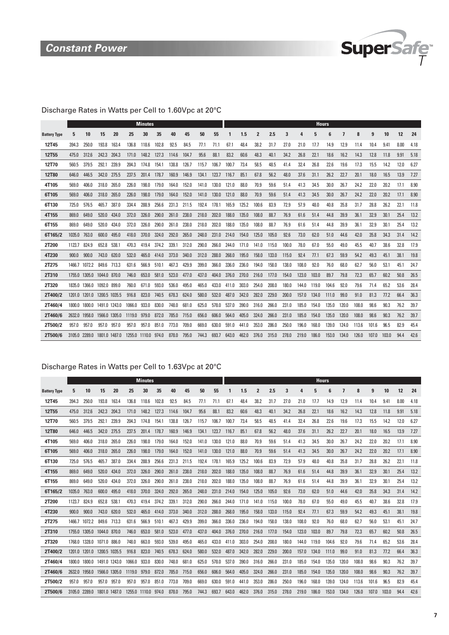

### Discharge Rates in Watts per Cell to 1.60Vpc at 20°C

|                     |        |               |               |       |        | <b>Minutes</b> |       |       |       |       |       |       |       |                |       |       |       | <b>Hours</b> |       |       |       |       |       |      |      |
|---------------------|--------|---------------|---------------|-------|--------|----------------|-------|-------|-------|-------|-------|-------|-------|----------------|-------|-------|-------|--------------|-------|-------|-------|-------|-------|------|------|
| <b>Battery Type</b> | 5      | 10            | 15            | 20    | 25     | 30             | 35    | 40    | 45    | 50    | 55    |       | 1.5   | $\overline{2}$ | 2.5   | 3     | Δ     | 5            | 6     |       | 8     | 9     | 10    | 12   | 24   |
| 12T45               | 394.3  | 250.0         | 193.8         | 163.4 | 136.8  | 118.6          | 102.8 | 92.5  | 84.5  | 77.1  | 71.1  | 67.1  | 48.4  | 38.2           | 31.7  | 27.0  | 21.0  | 17.7         | 14.9  | 12.9  | 11.4  | 10.4  | 9.41  | 8.00 | 4.18 |
| <b>12T55</b>        | 475.0  | 312.6         | 242.3         | 204.3 | 171.0  | 148.2          | 127.3 | 114.6 | 104.7 | 95.6  | 88.1  | 83.2  | 60.6  | 48.3           | 40.1  | 34.2  | 26.8  | 22.1         | 18.6  | 16.2  | 14.3  | 12.8  | 11.8  | 9.91 | 5.18 |
| 12T70               | 560.5  | 379.5         | 292.1         | 239.9 | 204.3  | 174.8          | 154.1 | 138.8 | 126.7 | 115.7 | 106.7 | 100.7 | 73.4  | 58.5           | 48.5  | 41.4  | 32.4  | 26.8         | 22.6  | 19.6  | 17.3  | 15.5  | 14.2  | 12.0 | 6.27 |
| <b>12T80</b>        | 646.0  | 446.5         | 342.0         | 275.5 | 237.5  | 201.4          | 178.7 | 160.9 | 146.9 | 134.1 | 123.7 | 116.7 | 85.1  | 67.8           | 56.2  | 48.0  | 37.6  | 31.1         | 26.2  | 22.7  | 20.1  | 18.0  | 16.5  | 13.9 | 7.27 |
| 4T105               | 569.0  | 406.0         | 318.0         | 265.0 | 226.0  | 198.0          | 179.0 | 164.0 | 152.0 | 141.0 | 130.0 | 121.0 | 88.0  | 70.9           | 59.6  | 51.4  | 41.3  | 34.5         | 30.0  | 26.7  | 24.2  | 22.0  | 20.2  | 17.1 | 8.90 |
| 6T105               | 569.0  | 406.0         | 318.0         | 265.0 | 226.0  | 198.0          | 179.0 | 164.0 | 152.0 | 141.0 | 130.0 | 121.0 | 88.0  | 70.9           | 59.6  | 51.4  | 41.3  | 34.5         | 30.0  | 26.7  | 24.2  | 22.0  | 20.2  | 17.1 | 8.90 |
| 6T130               | 725.0  | 576.5         | 465.7         | 387.0 | 334.4  | 288.9          | 256.6 | 231.3 | 211.5 | 192.4 | 178.1 | 165.9 | 125.2 | 100.6          | 83.9  | 72.9  | 57.9  | 48.0         | 40.8  | 35.8  | 31.7  | 28.8  | 26.2  | 22.1 | 11.8 |
| 4T155               | 869.0  | 649.0         | 520.0         | 434.0 | 372.0  | 326.0          | 290.0 | 261.0 | 238.0 | 218.0 | 202.0 | 188.0 | 135.0 | 108.0          | 88.7  | 76.9  | 61.6  | 51.4         | 44.8  | 39.9  | 36.1  | 32.9  | 30.1  | 25.4 | 13.2 |
| 6T155               | 869.0  | 649.0         | 520.0         | 434.0 | 372.0  | 326.0          | 290.0 | 261.0 | 238.0 | 218.0 | 202.0 | 188.0 | 135.0 | 108.0          | 88.7  | 76.9  | 61.6  | 51.4         | 44.8  | 39.9  | 36.1  | 32.9  | 30.1  | 25.4 | 13.2 |
| 6T165/2             | 1035.0 | 763.0         | 600.0         | 495.0 | 418.0  | 370.0          | 324.0 | 292.0 | 265.0 | 248.0 | 231.0 | 214.0 | 154.0 | 125.0          | 105.0 | 92.6  | 73.0  | 62.0         | 51.0  | 44.6  | 42.0  | 35.8  | 34.3  | 31.4 | 14.2 |
| 2T200               | 1123.7 | 824.9         | 652.8         | 538.1 | 470.3  | 419.4          | 374.2 | 339.1 | 312.0 | 290.0 | 266.0 | 244.0 | 171.0 | 141.0          | 115.0 | 100.0 | 78.0  | 67.0         | 55.0  | 49.0  | 45.5  | 40.7  | 38.6  | 32.8 | 17.9 |
| 4T230               | 900.0  | 900.0         | 743.0         | 620.0 | 532.0  | 465.0          | 414.0 | 373.0 | 340.0 | 312.0 | 288.0 | 268.0 | 195.0 | 158.0          | 133.0 | 115.0 | 92.4  | 77.1         | 67.3  | 59.9  | 54.2  | 49.3  | 45.1  | 38.1 | 19.8 |
| 2T275               | 1466.7 | 1072.2        | 849.6         | 713.3 | 631.6  | 566.9          | 510.1 | 467.3 | 429.9 | 399.0 | 366.0 | 336.0 | 236.0 | 194.0          | 158.0 | 138.0 | 108.0 | 92.0         | 76.0  | 68.0  | 62.7  | 56.0  | 53.1  | 45.1 | 24.7 |
| 2T310               |        | 1755.0 1305.0 | 1044.0 870.0  |       | 746.0  | 653.0          | 581.0 | 523.0 | 477.0 | 437.0 | 404.0 | 376.0 | 270.0 | 216.0          | 177.0 | 154.0 | 123.0 | 103.0        | 89.7  | 79.8  | 72.3  | 65.7  | 60.2  | 50.8 | 26.5 |
| 2T320               | 1835.0 | 1366.0        | 1092.0        | 899.0 | 760.0  | 671.0          | 593.0 | 536.0 | 495.0 | 465.0 | 433.0 | 411.0 | 303.0 | 254.0          | 208.0 | 180.0 | 144.0 | 119.0        | 104.6 | 92.0  | 79.6  | 71.4  | 65.2  | 53.6 | 28.4 |
| 2T400/2             |        | 1201.0 1201.0 | 1200.5 1035.5 |       | 916.8  | 823.0          | 740.5 | 678.3 | 624.0 | 580.0 | 532.0 | 487.0 | 342.0 | 282.0          | 229.0 | 200.0 | 157.0 | 134.0        | 111.0 | 99.0  | 91.0  | 81.3  | 77.2  | 66.4 | 36.3 |
| 2T460/4             | 1800.0 | 1800.0        | 1491.0 1243.0 |       | 1066.0 | 933.0          | 830.0 | 748.0 | 681.0 | 625.0 | 578.0 | 537.0 | 390.0 | 316.0          | 266.0 | 231.0 | 185.0 | 154.0        | 135.0 | 120.0 | 108.0 | 98.6  | 90.3  | 76.2 | 39.7 |
| 2T460/6             | 2632.0 | 1958.0        | 1566.0 1305.0 |       | 1119.0 | 979.0          | 872.0 | 785.0 | 715.0 | 656.0 | 606.0 | 564.0 | 405.0 | 324.0          | 266.0 | 231.0 | 185.0 | 154.0        | 135.0 | 120.0 | 108.0 | 98.6  | 90.3  | 76.2 | 39.7 |
| 2T500/2             | 957.0  | 957.0         | 957.0         | 957.0 | 957.0  | 957.0          | 851.0 | 773.0 | 709.0 | 669.0 | 630.0 | 591.0 | 441.0 | 353.0          | 286.0 | 250.0 | 196.0 | 168.0        | 139.0 | 124.0 | 113.6 | 101.6 | 96.5  | 82.9 | 45.4 |
| 2T500/6             | 3105.0 | 2289.0        | 1801.0 1487.0 |       | 1255.0 | 1110.0 974.0   |       | 878.0 | 795.0 | 744.3 | 693.7 | 643.0 | 462.0 | 376.0          | 315.0 | 278.0 | 219.0 | 186.0        | 153.0 | 134.0 | 126.0 | 107.0 | 103.0 | 94.4 | 42.6 |

### Discharge Rates in Watts per Cell to 1.63Vpc at 20°C

|                     |               |               |               |               |        | <b>Minutes</b> |       |       |       |       |       |       |       |                |       |       |       | <b>Hours</b> |       |       |       |       |       |      |      |
|---------------------|---------------|---------------|---------------|---------------|--------|----------------|-------|-------|-------|-------|-------|-------|-------|----------------|-------|-------|-------|--------------|-------|-------|-------|-------|-------|------|------|
| <b>Battery Type</b> | 5             | 10            | 15            | 20            | 25     | 30             | 35    | 40    | 45    | 50    | 55    |       | 1.5   | $\overline{2}$ | 2.5   | 3     | 4     | 5            | 6     | 7     | 8     | 9     | 10    | 12   | 24   |
| 12T45               | 394.3         | 250.0         | 193.8         | 163.4         | 136.8  | 118.6          | 102.8 | 92.5  | 84.5  | 77.1  | 71.1  | 67.1  | 48.4  | 38.2           | 31.7  | 27.0  | 21.0  | 17.7         | 14.9  | 12.9  | 11.4  | 10.4  | 9.41  | 8.00 | 4.18 |
| 12T55               | 475.0         | 312.6         | 242.3         | 204.3         | 171.0  | 148.2          | 127.3 | 114.6 | 104.7 | 95.6  | 88.1  | 83.2  | 60.6  | 48.3           | 40.1  | 34.2  | 26.8  | 22.1         | 18.6  | 16.2  | 14.3  | 12.8  | 11.8  | 9.91 | 5.18 |
| 12T70               | 560.5         | 379.5         | 292.1         | 239.9         | 204.3  | 174.8          | 154.1 | 138.8 | 126.7 | 115.7 | 106.7 | 100.7 | 73.4  | 58.5           | 48.5  | 41.4  | 32.4  | 26.8         | 22.6  | 19.6  | 17.3  | 15.5  | 14.2  | 12.0 | 6.27 |
| <b>12T80</b>        | 646.0         | 446.5         | 342.0         | 275.5         | 237.5  | 201.4          | 178.7 | 160.9 | 146.9 | 134.1 | 123.7 | 116.7 | 85.1  | 67.8           | 56.2  | 48.0  | 37.6  | 31.1         | 26.2  | 22.7  | 20.1  | 18.0  | 16.5  | 13.9 | 7.27 |
| 4T105               | 569.0         | 406.0         | 318.0         | 265.0         | 226.0  | 198.0          | 179.0 | 164.0 | 152.0 | 141.0 | 130.0 | 121.0 | 88.0  | 70.9           | 59.6  | 51.4  | 41.3  | 34.5         | 30.0  | 26.7  | 24.2  | 22.0  | 20.2  | 17.1 | 8.90 |
| 6T105               | 569.0         | 406.0         | 318.0         | 265.0         | 226.0  | 198.0          | 179.0 | 164.0 | 152.0 | 141.0 | 130.0 | 121.0 | 88.0  | 70.9           | 59.6  | 51.4  | 41.3  | 34.5         | 30.0  | 26.7  | 24.2  | 22.0  | 20.2  | 17.1 | 8.90 |
| 6T130               | 725.0         | 576.5         | 465.7         | 387.0         | 334.4  | 288.9          | 256.6 | 231.3 | 211.5 | 192.4 | 178.1 | 165.9 | 125.2 | 100.6          | 83.9  | 72.9  | 57.9  | 48.0         | 40.8  | 35.8  | 31.7  | 28.8  | 26.2  | 22.1 | 11.8 |
| 4T155               | 869.0         | 649.0         | 520.0         | 434.0         | 372.0  | 326.0          | 290.0 | 261.0 | 238.0 | 218.0 | 202.0 | 188.0 | 135.0 | 108.0          | 88.7  | 76.9  | 61.6  | 51.4         | 44.8  | 39.9  | 36.1  | 32.9  | 30.1  | 25.4 | 13.2 |
| 6T155               | 869.0         | 649.0         | 520.0         | 434.0         | 372.0  | 326.0          | 290.0 | 261.0 | 238.0 | 218.0 | 202.0 | 188.0 | 135.0 | 108.0          | 88.7  | 76.9  | 61.6  | 51.4         | 44.8  | 39.9  | 36.1  | 32.9  | 30.1  | 25.4 | 13.2 |
| 6T165/2             | 1035.0        | 763.0         | 600.0         | 495.0         | 418.0  | 370.0          | 324.0 | 292.0 | 265.0 | 248.0 | 231.0 | 214.0 | 154.0 | 125.0          | 105.0 | 92.6  | 73.0  | 62.0         | 51.0  | 44.6  | 42.0  | 35.8  | 34.3  | 31.4 | 14.2 |
| 2T200               | 1123.7        | 824.9         | 652.8         | 538.1         | 470.3  | 419.4          | 374.2 | 339.1 | 312.0 | 290.0 | 266.0 | 244.0 | 171.0 | 141.0          | 115.0 | 100.0 | 78.0  | 67.0         | 55.0  | 49.0  | 45.5  | 40.7  | 38.6  | 32.8 | 17.9 |
| 4T230               | 900.0         | 900.0         | 743.0         | 620.0         | 532.0  | 465.0          | 414.0 | 373.0 | 340.0 | 312.0 | 288.0 | 268.0 | 195.0 | 158.0          | 133.0 | 115.0 | 92.4  | 77.1         | 67.3  | 59.9  | 54.2  | 49.3  | 45.1  | 38.1 | 19.8 |
| 2T275               | 1466.7        | 1072.2        | 849.6         | 713.3         | 631.6  | 566.9          | 510.1 | 467.3 | 429.9 | 399.0 | 366.0 | 336.0 | 236.0 | 194.0          | 158.0 | 138.0 | 108.0 | 92.0         | 76.0  | 68.0  | 62.7  | 56.0  | 53.1  | 45.1 | 24.7 |
| 2T310               |               | 1755.0 1305.0 | 1044.0 870.0  |               | 746.0  | 653.0          | 581.0 | 523.0 | 477.0 | 437.0 | 404.0 | 376.0 | 270.0 | 216.0          | 177.0 | 154.0 | 123.0 | 103.0        | 89.7  | 79.8  | 72.3  | 65.7  | 60.2  | 50.8 | 26.5 |
| 2T320               |               | 1768.0 1328.0 | 1071.0 886.0  |               | 748.0  | 663.0          | 593.0 | 539.0 | 495.0 | 465.0 | 433.0 | 411.0 | 303.0 | 254.0          | 208.0 | 180.0 | 144.0 | 119.0        | 104.6 | 92.0  | 79.6  | 71.4  | 65.2  | 53.6 | 28.4 |
| 2T400/2             | 1201.0        | 1201.0        | 1200.5 1035.5 |               | 916.8  | 823.0          | 740.5 | 678.3 | 624.0 | 580.0 | 532.0 | 487.0 | 342.0 | 282.0          | 229.0 | 200.0 | 157.0 | 134.0        | 111.0 | 99.0  | 91.0  | 81.3  | 77.2  | 66.4 | 36.3 |
| 2T460/4             | 1800.0 1800.0 |               | 1491.0 1243.0 |               | 1066.0 | 933.0          | 830.0 | 748.0 | 681.0 | 625.0 | 578.0 | 537.0 | 390.0 | 316.0          | 266.0 | 231.0 | 185.0 | 154.0        | 135.0 | 120.0 | 108.0 | 98.6  | 90.3  | 76.2 | 39.7 |
| 2T460/6             | 2632.0        | 1958.0        | 1566.0 1305.0 |               | 1119.0 | 979.0          | 872.0 | 785.0 | 715.0 | 656.0 | 606.0 | 564.0 | 405.0 | 324.0          | 266.0 | 231.0 | 185.0 | 154.0        | 135.0 | 120.0 | 108.0 | 98.6  | 90.3  | 76.2 | 39.7 |
| 2T500/2             | 957.0         | 957.0         | 957.0         | 957.0         | 957.0  | 957.0          | 851.0 | 773.0 | 709.0 | 669.0 | 630.0 | 591.0 | 441.0 | 353.0          | 286.0 | 250.0 | 196.0 | 168.0        | 139.0 | 124.0 | 113.6 | 101.6 | 96.5  | 82.9 | 45.4 |
| 2T500/6             | 3105.0 2289.0 |               |               | 1801.0 1487.0 |        | 1255.0 1110.0  | 974.0 | 878.0 | 795.0 | 744.3 | 693.7 | 643.0 | 462.0 | 376.0          | 315.0 | 278.0 | 219.0 | 186.0        | 153.0 | 134.0 | 126.0 | 107.0 | 103.0 | 94.4 | 42.6 |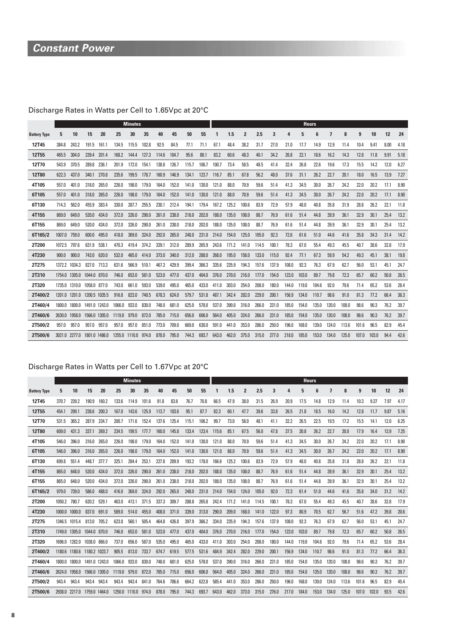# **Constant Power**

# Discharge Rates in Watts per Cell to 1.65Vpc at 20°C

|                     |               |               |               |       |        | <b>Minutes</b> |       |       |       |       |       |       |       |                |       |       |       | <b>Hours</b> |       |       |       |       |       |      |      |
|---------------------|---------------|---------------|---------------|-------|--------|----------------|-------|-------|-------|-------|-------|-------|-------|----------------|-------|-------|-------|--------------|-------|-------|-------|-------|-------|------|------|
| <b>Battery Type</b> | 5             | 10            | 15            | 20    | 25     | 30             | 35    | 40    | 45    | 50    | 55    |       | 1.5   | $\overline{2}$ | 2.5   | 3     | Δ     | 5            | 6     | 7     | 8     | 9     | 10    | 12   | 24   |
| 12T45               | 384.8         | 243.2         | 191.5         | 161.1 | 134.5  | 115.5          | 102.8 | 92.5  | 84.5  | 77.1  | 71.1  | 67.1  | 48.4  | 38.2           | 31.7  | 27.0  | 21.0  | 17.7         | 14.9  | 12.9  | 11.4  | 10.4  | 9.41  | 8.00 | 4.18 |
| <b>12T55</b>        | 465.5         | 304.0         | 239.4         | 201.4 | 168.2  | 144.4          | 127.3 | 114.6 | 104.7 | 95.6  | 88.1  | 83.2  | 60.6  | 48.3           | 40.1  | 34.2  | 26.8  | 22.1         | 18.6  | 16.2  | 14.3  | 12.8  | 11.8  | 9.91 | 5.18 |
| 12T70               | 543.9         | 370.5         | 289.8         | 236.1 | 201.9  | 172.0          | 154.1 | 138.8 | 126.7 | 115.7 | 106.7 | 100.7 | 73.4  | 58.5           | 48.5  | 41.4  | 32.4  | 26.8         | 22.6  | 19.6  | 17.3  | 15.5  | 14.2  | 12.0 | 6.27 |
| 12T80               | 622.3         | 437.0         | 340.1         | 270.8 | 235.6  | 199.5          | 178.7 | 160.9 | 146.9 | 134.1 | 123.7 | 116.7 | 85.1  | 67.8           | 56.2  | 48.0  | 37.6  | 31.1         | 26.2  | 22.7  | 20.1  | 18.0  | 16.5  | 13.9 | 7.27 |
| 4T105               | 557.0         | 401.0         | 318.0         | 265.0 | 226.0  | 198.0          | 179.0 | 164.0 | 152.0 | 141.0 | 130.0 | 121.0 | 88.0  | 70.9           | 59.6  | 51.4  | 41.3  | 34.5         | 30.0  | 26.7  | 24.2  | 22.0  | 20.2  | 17.1 | 8.90 |
| 6T105               | 557.0         | 401.0         | 318.0         | 265.0 | 226.0  | 198.0          | 179.0 | 164.0 | 152.0 | 141.0 | 130.0 | 121.0 | 88.0  | 70.9           | 59.6  | 51.4  | 41.3  | 34.5         | 30.0  | 26.7  | 24.2  | 22.0  | 20.2  | 17.1 | 8.90 |
| 6T130               | 714.3         | 562.0         | 455.9         | 383.4 | 330.0  | 287.7          | 255.5 | 230.1 | 212.4 | 194.1 | 179.4 | 167.2 | 125.2 | 100.6          | 83.9  | 72.9  | 57.9  | 48.0         | 40.8  | 35.8  | 31.9  | 28.8  | 26.2  | 22.1 | 11.8 |
| 4T155               | 869.0         | 649.0         | 520.0         | 434.0 | 372.0  | 326.0          | 290.0 | 261.0 | 238.0 | 218.0 | 202.0 | 188.0 | 135.0 | 108.0          | 88.7  | 76.9  | 61.6  | 51.4         | 44.8  | 39.9  | 36.1  | 32.9  | 30.1  | 25.4 | 13.2 |
| 6T155               | 869.0         | 649.0         | 520.0         | 434.0 | 372.0  | 326.0          | 290.0 | 261.0 | 238.0 | 218.0 | 202.0 | 188.0 | 135.0 | 108.0          | 88.7  | 76.9  | 61.6  | 51.4         | 44.8  | 39.9  | 36.1  | 32.9  | 30.1  | 25.4 | 13.2 |
| 6T165/2             | 1007.0        | 759.0         | 600.0         | 495.0 | 418.0  | 369.0          | 324.0 | 292.0 | 265.0 | 248.0 | 231.0 | 214.0 | 154.0 | 125.0          | 105.0 | 92.3  | 72.6  | 61.6         | 51.0  | 44.6  | 41.6  | 35.8  | 34.3  | 31.4 | 14.2 |
| 2T200               | 1072.5        | 797.6         | 631.9         | 538.1 | 470.3  | 419.4          | 374.2 | 339.1 | 312.0 | 289.9 | 265.9 | 243.6 | 171.2 | 141.0          | 114.5 | 100.1 | 78.3  | 67.0         | 55.4  | 49.3  | 45.5  | 40.7  | 38.6  | 32.8 | 17.9 |
| 4T230               | 900.0         | 900.0         | 743.0         | 620.0 | 532.0  | 465.0          | 414.0 | 373.0 | 340.0 | 312.0 | 288.0 | 268.0 | 195.0 | 158.0          | 133.0 | 115.0 | 92.4  | 77.1         | 67.3  | 59.9  | 54.2  | 49.3  | 45.1  | 38.1 | 19.8 |
| 2T275               | 1372.2 1034.3 |               | 827.0         | 713.3 | 631.6  | 566.9          | 510.1 | 467.3 | 429.9 | 399.4 | 366.3 | 335.6 | 235.9 | 194.3          | 157.6 | 137.9 | 108.0 | 92.3         | 76.3  | 67.9  | 62.7  | 56.0  | 53.1  | 45.1 | 24.7 |
| 2T310               |               | 1754.0 1305.0 | 1044.0 870.0  |       | 746.0  | 653.0          | 581.0 | 523.0 | 477.0 | 437.0 | 404.0 | 376.0 | 270.0 | 216.0          | 177.0 | 154.0 | 123.0 | 103.0        | 89.7  | 79.8  | 72.3  | 65.7  | 60.2  | 50.8 | 26.5 |
| 2T320               | 1735.0        | 1310.0        | 1058.0 877.0  |       | 743.0  | 661.0          | 593.0 | 539.0 | 495.0 | 465.0 | 433.0 | 411.0 | 303.0 | 254.0          | 208.0 | 180.0 | 144.0 | 119.0        | 104.6 | 92.0  | 79.6  | 71.4  | 65.2  | 53.6 | 28.4 |
| 2T400/2             |               | 1201.0 1201.0 | 1200.5 1035.5 |       | 916.8  | 823.0          | 740.5 | 678.3 | 624.0 | 579.7 | 531.8 | 487.1 | 342.4 | 282.0          | 229.0 | 200.1 | 156.9 | 134.0        | 110.7 | 98.6  | 91.0  | 81.3  | 77.2  | 66.4 | 36.3 |
| 2T460/4             | 1800.0        | 1800.0        | 1491.0 1243.0 |       | 1066.0 | 933.0          | 830.0 | 748.0 | 681.0 | 625.0 | 578.0 | 537.0 | 390.0 | 316.0          | 266.0 | 231.0 | 185.0 | 154.0        | 135.0 | 120.0 | 108.0 | 98.6  | 90.3  | 76.2 | 39.7 |
| 2T460/6             | 2630.0        | 1958.0        | 1566.0 1305.0 |       | 1119.0 | 979.0          | 872.0 | 785.0 | 715.0 | 656.0 | 606.0 | 564.0 | 405.0 | 324.0          | 266.0 | 231.0 | 185.0 | 154.0        | 135.0 | 120.0 | 108.0 | 98.6  | 90.3  | 76.2 | 39.7 |
| 2T500/2             | 957.0         | 957.0         | 957.0         | 957.0 | 957.0  | 957.0          | 851.0 | 773.0 | 709.0 | 669.0 | 630.0 | 591.0 | 441.0 | 353.0          | 286.0 | 250.0 | 196.0 | 168.0        | 139.0 | 124.0 | 113.6 | 101.6 | 96.5  | 82.9 | 45.4 |
| 2T500/6             | 3021.0        | 2277.0        | 1801.0 1486.0 |       |        | 1255.0 1110.0  | 974.0 | 878.0 | 795.0 | 744.3 | 693.7 | 643.0 | 462.0 | 375.0          | 315.0 | 277.0 | 218.0 | 185.0        | 153.0 | 134.0 | 125.0 | 107.0 | 103.0 | 94.4 | 42.6 |

### Discharge Rates in Watts per Cell to 1.67Vpc at 20°C

|                     |               |                             |               |               |        | <b>Minutes</b> |       |       |       |       |       |       |       |                |       |       |       | <b>Hours</b> |       |       |       |       |       |      |      |
|---------------------|---------------|-----------------------------|---------------|---------------|--------|----------------|-------|-------|-------|-------|-------|-------|-------|----------------|-------|-------|-------|--------------|-------|-------|-------|-------|-------|------|------|
| <b>Battery Type</b> | 5             | 10                          | 15            | 20            | 25     | 30             | 35    | 40    | 45    | 50    | 55    | 1     | 1.5   | $\overline{2}$ | 2.5   | 3     |       | հ            | 6     | 7     | 8     | 9     | 10    | 12   | 24   |
| 12T45               | 370.7         | 239.2                       | 190.9         | 160.2         | 133.6  | 114.9          | 101.6 | 91.8  | 83.6  | 76.7  | 70.8  | 66.5  | 47.9  | 38.0           | 31.5  | 26.9  | 20.9  | 17.5         | 14.8  | 12.9  | 11.4  | 10.3  | 9.37  | 7.97 | 4.17 |
| <b>12T55</b>        | 454.1         | 299.1                       | 238.6         | 200.3         | 167.0  | 143.6          | 125.9 | 113.7 | 103.6 | 95.1  | 87.7  | 82.3  | 60.1  | 47.7           | 39.6  | 33.8  | 26.5  | 21.8         | 18.5  | 16.0  | 14.2  | 12.8  | 11.7  | 9.87 | 5.16 |
| 12T70               | 531.5         | 365.2                       | 287.9         | 234.7         | 200.7  | 171.6          | 152.4 | 137.6 | 125.4 | 115.1 | 106.2 | 99.7  | 73.0  | 58.0           | 48.1  | 41.1  | 32.2  | 26.5         | 22.5  | 19.5  | 17.2  | 15.5  | 14.1  | 12.0 | 6.25 |
| <b>12T80</b>        | 609.0         | 431.3                       | 337.1         | 269.2         | 234.5  | 199.5          | 177.7 | 160.0 | 145.8 | 133.4 | 123.4 | 115.6 | 85.1  | 67.5           | 56.0  | 47.8  | 37.5  | 30.8         | 26.2  | 22.7  | 20.0  | 17.9  | 16.4  | 13.9 | 7.25 |
| 4T105               | 546.0         | 396.0                       | 316.0         | 265.0         | 226.0  | 198.0          | 179.0 | 164.0 | 152.0 | 141.0 | 130.0 | 121.0 | 88.0  | 70.9           | 59.6  | 51.4  | 41.3  | 34.5         | 30.0  | 26.7  | 24.2  | 22.0  | 20.2  | 17.1 | 8.90 |
| 6T105               | 546.0         | 396.0                       | 316.0         | 265.0         | 226.0  | 198.0          | 179.0 | 164.0 | 152.0 | 141.0 | 130.0 | 121.0 | 88.0  | 70.9           | 59.6  | 51.4  | 41.3  | 34.5         | 30.0  | 26.7  | 24.2  | 22.0  | 20.2  | 17.1 | 8.90 |
| 6T130               | 699.8         | 551.4                       | 448.7         | 377.7         | 325.1  | 284.4          | 253.  | 227.8 | 209.9 | 193.2 | 178.0 | 166.6 | 125.2 | 100.6          | 83.9  | 72.9  | 57.9  | 48.0         | 40.8  | 35.8  | 31.8  | 28.8  | 26.2  | 22.1 | 11.8 |
| 4T155               | 865.0         | 648.0                       | 520.0         | 434.0         | 372.0  | 326.0          | 290.0 | 261.0 | 238.0 | 218.0 | 202.0 | 188.0 | 135.0 | 108.0          | 88.7  | 76.9  | 61.6  | 51.4         | 44.8  | 39.9  | 36.1  | 32.9  | 30.1  | 25.4 | 13.2 |
| 6T155               | 865.0         | 648.0                       | 520.0         | 434.0         | 372.0  | 326.0          | 290.0 | 261.0 | 238.0 | 218.0 | 202.0 | 188.0 | 135.0 | 108.0          | 88.7  | 76.9  | 61.6  | 51.4         | 44.8  | 39.9  | 36.1  | 32.9  | 30.1  | 25.4 | 13.2 |
| 6T165/2             | 979.0         | 739.0                       | 586.0         | 488.0         | 416.0  | 369.0          | 324.0 | 292.0 | 265.0 | 248.0 | 231.0 | 214.0 | 154.0 | 124.0          | 105.0 | 92.0  | 72.3  | 61.4         | 51.0  | 44.6  | 41.6  | 35.8  | 34.0  | 31.2 | 14.2 |
| 2T200               | 1050.2        | 780.7                       | 620.2         | 529.1         | 463.0  | 413.1          | 371.5 | 337.3 | 309.7 | 288.8 | 265.8 | 242.4 | 171.2 | 141.0          | 114.5 | 100.1 | 78.3  | 67.0         | 55.4  | 49.3  | 45.5  | 40.7  | 38.6  | 32.8 | 17.9 |
| 4T230               | 1000.0        | 1000.0                      | 837.0         | 691.0         | 589.0  | 514.0          | 455.0 | 408.0 | 371.0 | 339.0 | 313.0 | 290.0 | 209.0 | 168.0          | 141.0 | 122.0 | 97.3  | 80.9         | 70.5  | 62.7  | 56.7  | 51.6  | 47.2  | 39.8 | 20.6 |
| 2T275               | 1346.5 1015.4 |                             | 813.0         | 705.2         | 623.8  | 560.1          | 505.4 | 464.8 | 426.8 | 397.9 | 366.2 | 334.0 | 235.9 | 194.3          | 157.6 | 137.9 | 108.0 | 92.3         | 76.3  | 67.9  | 62.7  | 56.0  | 53.1  | 45.1 | 24.7 |
| 2T310               | 1749.0 1305.0 |                             | 1044.0        | 870.0         | 746.0  | 653.0          | 581.0 | 523.0 | 477.0 | 437.0 | 404.0 | 376.0 | 270.0 | 216.0          | 177.0 | 154.0 | 123.0 | 103.0        | 89.7  | 79.8  | 72.3  | 65.7  | 60.2  | 50.8 | 26.5 |
| 2T320               |               | 1696.0 1282.0               | 1038.0 866.0  |               | 737.0  | 656.0          | 587.0 | 535.0 | 495.0 | 465.0 | 433.0 | 411.0 | 303.0 | 254.0          | 208.0 | 180.0 | 144.0 | 119.0        | 104.6 | 92.0  | 79.6  | 71.4  | 65.2  | 53.6 | 28.4 |
| 2T400/2             |               | 1180.6 1180.6 1180.2 1023.7 |               |               | 905.5  | 813.0          | 733.7 | 674.7 | 619.5 | 577.5 | 531.6 | 484.9 | 342.4 | 282.0          | 229.0 | 200.1 | 156.9 | 134.0        | 110.7 | 98.6  | 91.0  | 81.3  | 77.2  | 66.4 | 36.3 |
| 2T460/4             |               | 1800.0 1800.0               | 1491.0 1243.0 |               | 1066.0 | 933.0          | 830.0 | 748.0 | 681.0 | 625.0 | 578.0 | 537.0 | 390.0 | 316.0          | 266.0 | 231.0 | 185.0 | 154.0        | 135.0 | 120.0 | 108.0 | 98.6  | 90.3  | 76.2 | 39.7 |
| 2T460/6             | 2624.0        | 1958.0                      |               | 1566.0 1305.0 | 1119.0 | 979.0          | 872.0 | 785.0 | 715.0 | 656.0 | 606.0 | 564.0 | 405.0 | 324.0          | 266.0 | 231.0 | 185.0 | 154.0        | 135.0 | 120.0 | 108.0 | 98.6  | 90.3  | 76.2 | 39.7 |
| 2T500/2             | 943.4         | 943.4                       | 943.4         | 943.4         | 943.4  | 943.4          | 841.0 | 764.6 | 706.6 | 664.2 | 622.8 | 585.4 | 441.0 | 353.0          | 286.0 | 250.0 | 196.0 | 168.0        | 139.0 | 124.0 | 113.6 | 101.6 | 96.5  | 82.9 | 45.4 |
| 2T500/6             |               | 2938.0 2217.0 1759.0 1464.0 |               |               |        | 1250.0 1110.0  | 974.0 | 878.0 | 795.0 | 744.3 | 693.7 | 643.0 | 462.0 | 373.0          | 315.0 | 276.0 | 217.0 | 184.0        | 153.0 | 134.0 | 125.0 | 107.0 | 102.0 | 93.5 | 42.6 |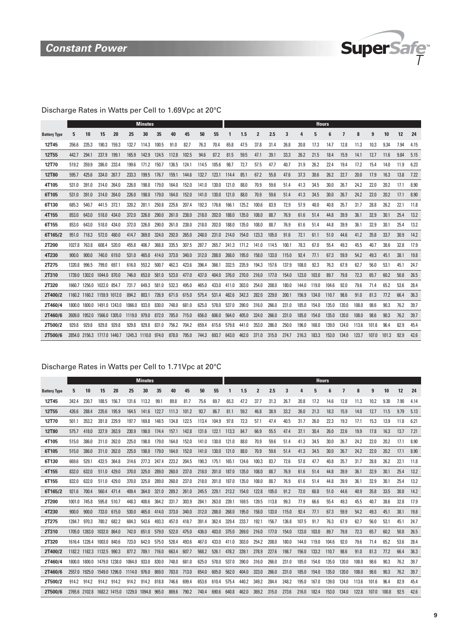

### Discharge Rates in Watts per Cell to 1.69Vpc at 20°C

|                     |               |                             |               |               |        | <b>Minutes</b>      |       |       |       |       |       |       |       |                |       |       |       | <b>Hours</b> |       |       |       |       |       |      |      |
|---------------------|---------------|-----------------------------|---------------|---------------|--------|---------------------|-------|-------|-------|-------|-------|-------|-------|----------------|-------|-------|-------|--------------|-------|-------|-------|-------|-------|------|------|
| <b>Battery Type</b> | 5             | 10                          | 15            | 20            | 25     | 30                  | 35    | 40    | 45    | 50    | 55    |       | 1.5   | $\overline{2}$ | 2.5   | 3     | 4     | 5            | 6     | 7     | 8     | 9     | 10    | 12   | 24   |
| 12T45               | 356.6         | 235.3                       | 190.3         | 159.3         | 132.7  | 114.3               | 100.5 | 91.0  | 82.7  | 76.3  | 70.4  | 65.8  | 47.5  | 37.8           | 31.4  | 26.8  | 20.8  | 17.3         | 14.7  | 12.8  | 11.3  | 10.3  | 9.34  | 7.94 | 4.15 |
| <b>12T55</b>        | 442.7         | 294.1                       | 237.9         | 199.1         | 165.9  | 142.9               | 124.5 | 112.8 | 102.5 | 94.6  | 87.2  | 81.5  | 59.5  | 47.1           | 39.1  | 33.3  | 26.2  | 21.5         | 18.4  | 15.9  | 14.1  | 12.7  | 11.6  | 9.84 | 5.15 |
| 12T70               | 519.2         | 359.9                       | 286.0         | 233.4         | 199.6  | 171.2               | 150.7 | 136.5 | 124.1 | 114.5 | 105.6 | 98.7  | 72.7  | 57.5           | 47.7  | 40.7  | 31.9  | 26.2         | 22.4  | 19.4  | 17.2  | 15.4  | 14.0  | 11.9 | 6.23 |
| <b>12T80</b>        | 595.7         | 425.6                       | 334.0         | 267.7         | 233.3  | 199.5               | 176.7 | 159.1 | 144.6 | 132.7 | 123.1 | 114.4 | 85.1  | 67.2           | 55.8  | 47.6  | 37.3  | 30.6         | 26.2  | 22.7  | 20.0  | 17.9  | 16.3  | 13.8 | 7.22 |
| 4T105               | 531.0         | 391.0                       | 314.0         | 264.0         | 226.0  | 198.0               | 179.0 | 164.0 | 152.0 | 141.0 | 130.0 | 121.0 | 88.0  | 70.9           | 59.6  | 51.4  | 41.3  | 34.5         | 30.0  | 26.7  | 24.2  | 22.0  | 20.2  | 17.1 | 8.90 |
| 6T105               | 531.0         | 391.0                       | 314.0         | 264.0         | 226.0  | 198.0               | 179.0 | 164.0 | 152.0 | 141.0 | 130.0 | 121.0 | 88.0  | 70.9           | 59.6  | 51.4  | 41.3  | 34.5         | 30.0  | 26.7  | 24.2  | 22.0  | 20.2  | 17.1 | 8.90 |
| 6T130               | 685.3         | 540.7                       | 441.5         | 372.1         | 320.2  | 281.1               | 250.8 | 225.6 | 207.4 | 192.3 | 176.6 | 166.1 | 125.2 | 100.6          | 83.9  | 72.9  | 57.9  | 48.0         | 40.8  | 35.7  | 31.7  | 28.8  | 26.2  | 22.1 | 11.8 |
| 4T155               | 853.0         | 643.0                       | 518.0         | 434.0         | 372.0  | 326.0               | 290.0 | 261.0 | 238.0 | 218.0 | 202.0 | 188.0 | 135.0 | 108.0          | 88.7  | 76.9  | 61.6  | 51.4         | 44.8  | 39.9  | 36.1  | 32.9  | 30.1  | 25.4 | 13.2 |
| 6T155               | 853.0         | 643.0                       | 518.0         | 434.0         | 372.0  | 326.0               | 290.0 | 261.0 | 238.0 | 218.0 | 202.0 | 188.0 | 135.0 | 108.0          | 88.7  | 76.9  | 61.6  | 51.4         | 44.8  | 39.9  | 36.1  | 32.9  | 30.1  | 25.4 | 13.2 |
| 6T165/2             | 951.0         | 718.3                       | 572.0         | 480.0         | 414.7  | 369.0               | 324.0 | 292.0 | 265.0 | 248.0 | 231.0 | 214.0 | 154.0 | 123.3          | 105.0 | 91.6  | 72.1  | 61.1         | 51.0  | 44.6  | 41.2  | 35.8  | 33.7  | 30.9 | 14.2 |
| 2T200               | 1027.8        | 763.8                       | 608.4         | 520.0         | 455.8  | 406.7               | 368.8 | 335.5 | 307.5 | 287.7 | 265.7 | 241.3 | 171.2 | 141.0          | 114.5 | 100.1 | 78.3  | 67.0         | 55.4  | 49.3  | 45.5  | 40.7  | 38.6  | 32.8 | 17.9 |
| 4T230               | 900.0         | 900.0                       | 740.0         | 619.0         | 531.0  | 465.0               | 414.0 | 373.0 | 340.0 | 312.0 | 288.0 | 268.0 | 195.0 | 158.0          | 133.0 | 115.0 | 92.4  | 77.1         | 67.3  | 59.9  | 54.2  | 49.3  | 45.1  | 38.1 | 19.8 |
| 2T275               | 1320.8        | 996.5                       | 799.0         | 697.1         | 616.0  | 553.2               | 500.7 | 462.3 | 423.6 | 396.4 | 366.1 | 332.5 | 235.9 | 194.3          | 157.6 | 137.9 | 108.0 | 92.3         | 76.3  | 67.9  | 62.7  | 56.0  | 53.1  | 45.1 | 24.7 |
| 2T310               | 1739.0 1302.0 |                             | 1044.0 870.0  |               | 746.0  | 653.0               | 581.0 | 523.0 | 477.0 | 437.0 | 404.0 | 376.0 | 270.0 | 216.0          | 177.0 | 154.0 | 123.0 | 103.0        | 89.7  | 79.8  | 72.3  | 65.7  | 60.2  | 50.8 | 26.5 |
| 2T320               | 1660.7        | 1256.0                      | 1022.0        | 854.7         | 731.7  | 649.3               | 581.0 | 532.3 | 495.0 | 465.0 | 433.0 | 411.0 | 303.0 | 254.0          | 208.0 | 180.0 | 144.0 | 119.0        | 104.6 | 92.0  | 79.6  | 71.4  | 65.2  | 53.6 | 28.4 |
| 2T400/2             |               | 1160.2 1160.2 1159.9 1012.0 |               |               | 894.2  | 803.1               | 726.9 | 671.0 | 615.0 | 575.4 | 531.4 | 482.6 | 342.3 | 282.0          | 229.0 | 200.1 | 156.9 | 134.0        | 110.7 | 98.6  | 91.0  | 81.3  | 77.2  | 66.4 | 36.3 |
| 2T460/4             | 1800.0        | 1800.0                      |               | 1491.0 1243.0 | 1066.0 | 933.0               | 830.0 | 748.0 | 681.0 | 625.0 | 578.0 | 537.0 | 390.0 | 316.0          | 266.0 | 231.0 | 185.0 | 154.0        | 135.0 | 120.0 | 108.0 | 98.6  | 90.3  | 76.2 | 39.7 |
| 2T460/6             | 2609.0        | 1952.0                      |               | 1566.0 1305.0 | 1119.0 | 979.0               | 872.0 | 785.0 | 715.0 | 656.0 | 606.0 | 564.0 | 405.0 | 324.0          | 266.0 | 231.0 | 185.0 | 154.0        | 135.0 | 120.0 | 108.0 | 98.6  | 90.3  | 76.2 | 39.7 |
| 2T500/2             | 929.8         | 929.8                       | 929.8         | 929.8         | 929.8  | 929.8               | 831.0 | 756.2 | 704.2 | 659.4 | 615.6 | 579.8 | 441.0 | 353.0          | 286.0 | 250.0 | 196.0 | 168.0        | 139.0 | 124.0 | 113.6 | 101.6 | 96.4  | 82.9 | 45.4 |
| 2T500/6             | 2854.0 2156.3 |                             | 1717.0 1440.7 |               |        | 1245.3 1110.0 974.0 |       | 878.0 | 795.0 | 744.3 | 693.7 | 643.0 | 462.0 | 371.0          | 315.0 | 274.7 | 216.3 | 183.3        | 153.0 | 134.0 | 123.7 | 107.0 | 101.3 | 92.9 | 42.6 |

### Discharge Rates in Watts per Cell to 1.71Vpc at 20°C

|                     |        |               |               |       |        | <b>Minutes</b> |       |       |       |       |       |       |       |                |       |       |       | <b>Hours</b> |       |       |       |       |       |      |      |
|---------------------|--------|---------------|---------------|-------|--------|----------------|-------|-------|-------|-------|-------|-------|-------|----------------|-------|-------|-------|--------------|-------|-------|-------|-------|-------|------|------|
| <b>Battery Type</b> | 5      | 10            | 15            | 20    | 25     | 30             | 35    | 40    | 45    | 50    | 55    |       | 1.5   | $\overline{2}$ | 2.5   | 3     | 4     | 5            | 6     | 7     | 8     | 9     | 10    | 12   | 24   |
| 12T45               | 342.4  | 230.7         | 188.5         | 156.7 | 131.6  | 113.2          | 99.1  | 89.8  | 81.7  | 75.6  | 69.7  | 65.3  | 47.2  | 37.7           | 31.3  | 26.7  | 20.8  | 17.2         | 14.6  | 12.8  | 11.3  | 10.2  | 9.30  | 7.90 | 4.14 |
| 12T55               | 426.6  | 288.4         | 235.6         | 195.9 | 164.5  | 141.6          | 122.7 | 111.3 | 101.2 | 93.7  | 86.7  | 81.1  | 59.2  | 46.8           | 38.9  | 33.2  | 26.0  | 21.3         | 18.3  | 15.9  | 14.0  | 12.7  | 11.5  | 9.79 | 5.13 |
| 12T70               | 501.1  | 353.2         | 281.8         | 229.9 | 197.7  | 169.8          | 148.5 | 134.8 | 122.5 | 113.4 | 104.9 | 97.8  | 72.3  | 57.1           | 47.4  | 40.5  | 31.7  | 26.0         | 22.3  | 19.3  | 17.1  | 15.3  | 13.9  | 11.8 | 6.21 |
| <b>12T80</b>        | 575.7  | 418.0         | 327.9         | 263.9 | 230.9  | 198.0          | 174.4 | 157.1 | 142.8 | 131.6 | 122.1 | 113.3 | 84.7  | 66.9           | 55.5  | 47.4  | 37.1  | 30.4         | 26.0  | 22.6  | 19.9  | 17.8  | 16.3  | 13.7 | 7.21 |
| 4T105               | 515.0  | 386.0         | 311.0         | 262.0 | 225.0  | 198.0          | 179.0 | 164.0 | 152.0 | 141.0 | 130.0 | 121.0 | 88.0  | 70.9           | 59.6  | 51.4  | 41.3  | 34.5         | 30.0  | 26.7  | 24.2  | 22.0  | 20.2  | 17.1 | 8.90 |
| 6T105               | 515.0  | 386.0         | 311.0         | 262.0 | 225.0  | 198.0          | 179.0 | 164.0 | 152.0 | 141.0 | 130.0 | 121.0 | 88.0  | 70.9           | 59.6  | 51.4  | 41.3  | 34.5         | 30.0  | 26.7  | 24.2  | 22.0  | 20.2  | 17.1 | 8.90 |
| 6T130               | 669.6  | 529.1         | 432.5         | 364.8 | 314.6  | 277.3          | 247.4 | 223.2 | 204.5 | 190.3 | 175.1 | 165.1 | 124.6 | 100.3          | 83.7  | 72.6  | 57.8  | 47.7         | 40.8  | 35.7  | 31.7  | 28.8  | 26.2  | 22.1 | 11.8 |
| 4T155               | 832.0  | 632.0         | 511.0         | 429.0 | 370.0  | 325.0          | 289.0 | 260.0 | 237.0 | 218.0 | 201.0 | 187.0 | 135.0 | 108.0          | 88.7  | 76.9  | 61.6  | 51.4         | 44.8  | 39.9  | 36.1  | 32.9  | 30.1  | 25.4 | 13.2 |
| 6T155               | 832.0  | 632.0         | 511.0         | 429.0 | 370.0  | 325.0          | 289.0 | 260.0 | 237.0 | 218.0 | 201.0 | 187.0 | 135.0 | 108.0          | 88.7  | 76.9  | 61.6  | 51.4         | 44.8  | 39.9  | 36.1  | 32.9  | 30.1  | 25.4 | 13.2 |
| 6T165/2             | 921.6  | 700.4         | 560.4         | 471.4 | 409.4  | 364.0          | 321.0 | 289.2 | 261.0 | 245.5 | 229.1 | 213.2 | 154.0 | 122.8          | 105.0 | 91.2  | 72.0  | 60.8         | 51.0  | 44.6  | 40.9  | 35.8  | 33.5  | 30.8 | 14.2 |
| 2T200               | 1001.0 | 745.8         | 595.8         | 510.7 | 448.3  | 400.6          | 364.2 | 331.7 | 303.9 | 284.1 | 263.0 | 239.1 | 169.5 | 139.5          | 113.8 | 99.3  | 77.9  | 66.6         | 55.4  | 49.3  | 45.5  | 40.7  | 38.6  | 32.8 | 17.9 |
| 4T230               | 900.0  | 900.0         | 733.0         | 615.0 | 530.0  | 465.0          | 414.0 | 373.0 | 340.0 | 312.0 | 288.0 | 268.0 | 195.0 | 158.0          | 133.0 | 115.0 | 92.4  | 77.1         | 67.3  | 59.9  | 54.2  | 49.3  | 45.1  | 38.1 | 19.8 |
| 2T275               | 1284.7 | 970.3         | 780.2         | 682.2 | 604.3  | 543.6          | 493.3 | 457.0 | 418.7 | 391.4 | 362.4 | 329.4 | 233.7 | 192.1          | 156.7 | 136.8 | 107.5 | 91.7         | 76.3  | 67.9  | 62.7  | 56.0  | 53.1  | 45.1 | 24.7 |
| 2T310               |        | 1705.0 1283.0 | 1032.0        | 864.0 | 742.0  | 651.0          | 579.0 | 522.0 | 475.0 | 436.0 | 403.0 | 375.0 | 269.0 | 216.0          | 177.0 | 154.0 | 123.0 | 103.0        | 89.7  | 79.8  | 72.3  | 65.7  | 60.2  | 50.8 | 26.5 |
| 2T320               |        | 1616.4 1226.4 | 1003.0        | 840.6 | 723.0  | 642.0          | 575.0 | 528.4 | 493.6 | 467.0 | 433.0 | 411.0 | 303.0 | 254.2          | 208.0 | 180.0 | 144.0 | 119.0        | 104.6 | 92.0  | 79.6  | 71.4  | 65.2  | 53.6 | 28.4 |
| 2T400/2             |        | 1182.2 1182.3 | 1132.5        | 990.3 | 877.2  | 789.1          | 716.0 | 663.4 | 607.7 | 568.2 | 526.1 | 478.2 | 339.1 | 278.9          | 227.6 | 198.7 | 156.0 | 133.2        | 110.7 | 98.6  | 91.0  | 81.3  | 77.2  | 66.4 | 36.3 |
| 2T460/4             |        | 1800.0 1800.0 | 1479.0 1238.0 |       | 1064.0 | 933.0          | 830.0 | 748.0 | 681.0 | 625.0 | 578.0 | 537.0 | 390.0 | 316.0          | 266.0 | 231.0 | 185.0 | 154.0        | 135.0 | 120.0 | 108.0 | 98.6  | 90.3  | 76.2 | 39.7 |
| 2T460/6             | 2557.0 | 1925.0        | 1549.0 1296.0 |       | 1114.0 | 976.0          | 869.0 | 783.0 | 713.0 | 654.0 | 605.0 | 562.0 | 404.0 | 323.0          | 266.0 | 231.0 | 185.0 | 154.0        | 135.0 | 120.0 | 108.0 | 98.6  | 90.3  | 76.2 | 39.7 |
| 2T500/2             | 914.2  | 914.2         | 914.2         | 914.2 | 914.2  | 914.2          | 818.8 | 746.6 | 699.4 | 653.6 | 610.4 | 575.4 | 440.2 | 349.2          | 284.4 | 248.2 | 195.0 | 167.0        | 139.0 | 124.0 | 113.6 | 101.6 | 96.4  | 82.9 | 45.4 |
| 2T500/6             |        | 2765.6 2102.8 | 1682.2 1415.0 |       | 1229.0 | 1094.8         | 965.0 | 869.6 | 790.2 | 740.4 | 690.6 | 640.8 | 462.0 | 369.2          | 315.0 | 273.6 | 216.0 | 182.4        | 153.0 | 134.0 | 122.8 | 107.0 | 100.8 | 92.5 | 42.6 |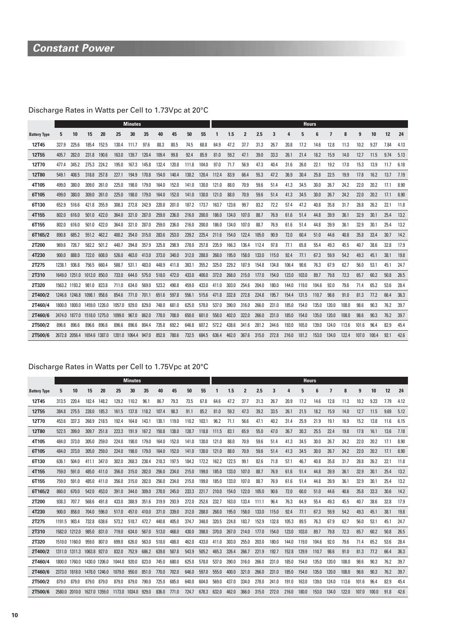# **Constant Power**

# Discharge Rates in Watts per Cell to 1.73Vpc at 20°C

|                     |        |               |               |       |        | <b>Minutes</b> |       |       |       |       |       |       |       |                |       |       |       | <b>Hours</b> |       |       |       |       |       |      |      |
|---------------------|--------|---------------|---------------|-------|--------|----------------|-------|-------|-------|-------|-------|-------|-------|----------------|-------|-------|-------|--------------|-------|-------|-------|-------|-------|------|------|
| <b>Battery Type</b> | 5      | 10            | 15            | 20    | 25     | 30             | 35    | 40    | 45    | 50    | 55    |       | 1.5   | $\overline{2}$ | 2.5   | 3     | 4     | 5            | 6     | 7     | 8     | 9     | 10    | 12   | 24   |
| 12T45               | 327.9  | 225.6         | 185.4         | 152.5 | 130.4  | 111.7          | 97.6  | 88.3  | 80.5  | 74.5  | 68.8  | 64.9  | 47.2  | 37.7           | 31.3  | 26.7  | 20.8  | 17.2         | 14.6  | 12.8  | 11.3  | 10.2  | 9.27  | 7.84 | 4.13 |
| <b>12T55</b>        | 405.7  | 282.0         | 231.8         | 190.6 | 163.0  | 139.7          | 120.4 | 109.4 | 99.8  | 92.4  | 85.9  | 81.0  | 59.2  | 47.1           | 39.0  | 33.3  | 26.1  | 21.4         | 18.2  | 15.9  | 14.0  | 12.7  | 11.5  | 9.74 | 5.13 |
| 12T70               | 477.4  | 345.2         | 275.3         | 224.2 | 195.0  | 167.3          | 145.8 | 132.4 | 120.8 | 111.8 | 104.0 | 97.0  | 71.7  | 56.9           | 47.3  | 40.4  | 31.6  | 26.0         | 22.1  | 19.2  | 17.0  | 15.3  | 13.9  | 11.7 | 6.18 |
| <b>12T80</b>        | 549.1  | 408.5         | 318.8         | 257.8 | 227.1  | 194.9          | 170.8 | 154.0 | 140.4 | 130.2 | 120.4 | 112.4 | 83.9  | 66.4           | 55.3  | 47.2  | 36.9  | 30.4         | 25.8  | 22.5  | 19.9  | 17.8  | 16.2  | 13.7 | 7.19 |
| 4T105               | 499.0  | 380.0         | 309.0         | 261.0 | 225.0  | 198.0          | 179.0 | 164.0 | 152.0 | 141.0 | 130.0 | 121.0 | 88.0  | 70.9           | 59.6  | 51.4  | 41.3  | 34.5         | 30.0  | 26.7  | 24.2  | 22.0  | 20.2  | 17.1 | 8.90 |
| 6T105               | 499.0  | 380.0         | 309.0         | 261.0 | 225.0  | 198.0          | 179.0 | 164.0 | 152.0 | 141.0 | 130.0 | 121.0 | 88.0  | 70.9           | 59.6  | 51.4  | 41.3  | 34.5         | 30.0  | 26.7  | 24.2  | 22.0  | 20.2  | 17.1 | 8.90 |
| 6T130               | 652.9  | 516.6         | 421.8         | 355.9 | 308.3  | 272.8          | 242.9 | 220.8 | 201.0 | 187.2 | 173.7 | 163.7 | 123.6 | 99.7           | 83.2  | 72.2  | 57.4  | 47.2         | 40.8  | 35.8  | 31.7  | 28.8  | 26.2  | 22.1 | 11.8 |
| 4T155               | 802.0  | 616.0         | 501.0         | 422.0 | 364.0  | 321.0          | 287.0 | 259.0 | 236.0 | 216.0 | 200.0 | 186.0 | 134.0 | 107.0          | 88.7  | 76.9  | 61.6  | 51.4         | 44.8  | 39.9  | 36.1  | 32.9  | 30.1  | 25.4 | 13.2 |
| 6T155               | 802.0  | 616.0         | 501.0         | 422.0 | 364.0  | 321.0          | 287.0 | 259.0 | 236.0 | 216.0 | 200.0 | 186.0 | 134.0 | 107.0          | 88.7  | 76.9  | 61.6  | 51.4         | 44.8  | 39.9  | 36.1  | 32.9  | 30.1  | 25.4 | 13.2 |
| 6T165/2             | 890.8  | 685.2         | 551.2         | 462.2 | 400.2  | 354.0          | 315.0 | 283.6 | 253.0 | 239.2 | 225.4 | 211.6 | 154.0 | 122.4          | 105.0 | 90.9  | 72.0  | 60.4         | 51.0  | 44.6  | 40.8  | 35.8  | 33.4  | 30.7 | 14.2 |
| 2T200               | 969.6  | 726.7         | 582.2         | 501.2 | 440.7  | 394.8          | 357.9 | 325.8 | 298.9 | 278.0 | 257.8 | 235.9 | 166.3 | 136.4          | 112.4 | 97.8  | 77.1  | 65.8         | 55.4  | 49.3  | 45.5  | 40.7  | 38.6  | 32.8 | 17.9 |
| 4T230               | 900.0  | 888.0         | 722.0         | 608.0 | 526.0  | 463.0          | 413.0 | 373.0 | 340.0 | 312.0 | 288.0 | 268.0 | 195.0 | 158.0          | 133.0 | 115.0 | 92.4  | 77.1         | 67.3  | 59.9  | 54.2  | 49.3  | 45.1  | 38.1 | 19.8 |
| 2T275               | 1238.1 | 936.8         | 756.5         | 660.4 | 588.7  | 531.1          | 483.0 | 448.9 | 411.8 | 383.1 | 355.2 | 325.0 | 229.2 | 187.9          | 154.8 | 134.8 | 106.4 | 90.6         | 76.3  | 67.9  | 62.7  | 56.0  | 53.1  | 45.1 | 24.7 |
| 2T310               | 1649.0 | 1251.0        | 1012.0 850.0  |       | 733.0  | 644.0          | 575.0 | 518.0 | 472.0 | 433.0 | 400.0 | 372.0 | 268.0 | 215.0          | 177.0 | 154.0 | 123.0 | 103.0        | 89.7  | 79.8  | 72.3  | 65.7  | 60.2  | 50.8 | 26.5 |
| 2T320               |        | 1563.2 1193.2 | 981.0         | 823.8 | 711.0  | 634.0          | 569.0 | 523.2 | 490.8 | 459.0 | 433.0 | 411.0 | 303.0 | 254.6          | 204.0 | 180.0 | 144.0 | 119.0        | 104.6 | 92.0  | 79.6  | 71.4  | 65.2  | 53.6 | 28.4 |
| 2T400/2             |        | 1246.6 1246.8 | 1098.1 958.6  |       | 854.6  | 771.0          | 701.1 | 651.6 | 597.8 | 556.1 | 515.6 | 471.8 | 332.8 | 272.8          | 224.8 | 195.7 | 154.4 | 131.5        | 110.7 | 98.6  | 91.0  | 81.3  | 77.2  | 66.4 | 36.3 |
| 2T460/4             | 1800.0 | 1800.0        | 1459.0 1226.0 |       | 1057.0 | 929.0          | 829.0 | 748.0 | 681.0 | 625.0 | 578.0 | 537.0 | 390.0 | 316.0          | 266.0 | 231.0 | 185.0 | 154.0        | 135.0 | 120.0 | 108.0 | 98.6  | 90.3  | 76.2 | 39.7 |
| 2T460/6             | 2474.0 | 1877.0        | 1518.0 1275.0 |       | 1099.0 | 967.0          | 862.0 | 778.0 | 708.0 | 650.0 | 601.0 | 558.0 | 402.0 | 322.0          | 266.0 | 231.0 | 185.0 | 154.0        | 135.0 | 120.0 | 108.0 | 98.6  | 90.3  | 76.2 | 39.7 |
| 2T500/2             | 896.6  | 896.6         | 896.6         | 896.6 | 896.6  | 896.6          | 804.4 | 735.8 | 692.2 | 646.8 | 607.2 | 572.2 | 438.6 | 341.6          | 281.2 | 244.6 | 193.0 | 165.0        | 139.0 | 124.0 | 113.6 | 101.6 | 96.4  | 82.9 | 45.4 |
| 2T500/6             | 2672.8 | 2056.4        | 1654.6 1387.0 |       | 1201.0 | 1064.4         | 947.0 | 852.8 | 780.6 | 732.5 | 684.5 | 636.4 | 462.0 | 367.6          | 315.0 | 272.8 | 216.0 | 181.2        | 153.0 | 134.0 | 122.4 | 107.0 | 100.4 | 92.1 | 42.6 |

### Discharge Rates in Watts per Cell to 1.75Vpc at 20°C

|                     |               |               |               |               |        | <b>Minutes</b> |       |       |       |       |       |       |       |                |       |       |       | <b>Hours</b> |       |       |       |       |       |      |      |
|---------------------|---------------|---------------|---------------|---------------|--------|----------------|-------|-------|-------|-------|-------|-------|-------|----------------|-------|-------|-------|--------------|-------|-------|-------|-------|-------|------|------|
| <b>Battery Type</b> | 5             | 10            | 15            | 20            | 25     | 30             | 35    | 40    | 45    | 50    | 55    | 1     | 1.5   | $\overline{2}$ | 2.5   | 3     |       | 5            | 6     | 7     | 8     | 9     | 10    | 12   | 24   |
| 12T45               | 313.5         | 220.4         | 182.4         | 148.2         | 129.2  | 110.2          | 96.1  | 86.7  | 79.3  | 73.5  | 67.8  | 64.6  | 47.2  | 37.7           | 31.3  | 26.7  | 20.9  | 17.2         | 14.6  | 12.8  | 11.3  | 10.2  | 9.23  | 7.79 | 4.12 |
| 12T <sub>55</sub>   | 384.8         | 275.5         | 228.0         | 185.3         | 161.5  | 137.8          | 118.2 | 107.4 | 98.3  | 91.1  | 85.2  | 81.0  | 59.2  | 47.3           | 39.2  | 33.5  | 26.1  | 21.5         | 18.2  | 15.9  | 14.0  | 12.7  | 11.5  | 9.69 | 5.12 |
| 12T70               | 453.6         | 337.3         | 268.9         | 218.5         | 192.4  | 164.8          | 143.1 | 130.1 | 119.0 | 110.2 | 103.1 | 96.2  | 71.1  | 56.6           | 47.1  | 40.2  | 31.4  | 25.9         | 21.9  | 19.1  | 16.9  | 15.2  | 13.8  | 11.6 | 6.15 |
| <b>12T80</b>        | 522.5         | 399.0         | 309.7         | 251.8         | 223.3  | 191.9          | 167.2 | 150.8 | 138.0 | 128.7 | 118.8 | 111.5 | 83.1  | 65.9           | 55.0  | 47.0  | 36.7  | 30.3         | 25.5  | 22.4  | 19.8  | 17.8  | 16.1  | 13.6 | 7.18 |
| 4T105               | 484.0         | 373.0         | 305.0         | 259.0         | 224.0  | 198.0          | 179.0 | 164.0 | 152.0 | 141.0 | 130.0 | 121.0 | 88.0  | 70.9           | 59.6  | 51.4  | 41.3  | 34.5         | 30.0  | 26.7  | 24.2  | 22.0  | 20.2  | 17.1 | 8.90 |
| 6T105               | 484.0         | 373.0         | 305.0         | 259.0         | 224.0  | 198.0          | 179.0 | 164.0 | 152.0 | 141.0 | 130.0 | 121.0 | 88.0  | 70.9           | 59.6  | 51.4  | 41.3  | 34.5         | 30.0  | 26.7  | 24.2  | 22.0  | 20.2  | 17.1 | 8.90 |
| 6T130               | 636.1         | 504.0         | 411.1         | 347.0         | 302.0  | 268.3          | 238.4 | 218.3 | 197.5 | 184.2 | 172.2 | 162.2 | 122.5 | 99.1           | 82.6  | 71.8  | 57.1  | 46.7         | 40.8  | 35.8  | 31.7  | 28.8  | 26.2  | 22.1 | 11.8 |
| 4T155               | 759.0         | 591.0         | 485.0         | 411.0         | 356.0  | 315.0          | 282.0 | 256.0 | 234.0 | 215.0 | 199.0 | 185.0 | 133.0 | 107.0          | 88.7  | 76.9  | 61.6  | 51.4         | 44.8  | 39.9  | 36.1  | 32.9  | 30.1  | 25.4 | 13.2 |
| 6T155               | 759.0         | 591.0         | 485.0         | 411.0         | 356.0  | 315.0          | 282.0 | 256.0 | 234.0 | 215.0 | 199.0 | 185.0 | 133.0 | 107.0          | 88.7  | 76.9  | 61.6  | 51.4         | 44.8  | 39.9  | 36.1  | 32.9  | 30.1  | 25.4 | 13.2 |
| 6T165/2             | 860.0         | 670.0         | 542.0         | 453.0         | 391.0  | 344.0          | 309.0 | 278.0 | 245.0 | 233.3 | 221.7 | 210.0 | 154.0 | 122.0          | 105.0 | 90.6  | 72.0  | 60.0         | 51.0  | 44.6  | 40.6  | 35.8  | 33.3  | 30.6 | 14.2 |
| 2T200               | 938.3         | 707.7         | 568.6         | 491.8         | 433.0  | 388.9          | 351.6 | 319.9 | 293.9 | 272.0 | 252.6 | 232.7 | 163.0 | 133.4          | 111.1 | 96.4  | 76.3  | 64.9         | 55.4  | 49.3  | 45.5  | 40.7  | 38.6  | 32.8 | 17.9 |
| 4T230               | 900.0         | 858.0         | 704.0         | 596.0         | 517.0  | 457.0          | 410.0 | 371.0 | 339.0 | 312.0 | 288.0 | 268.0 | 195.0 | 158.0          | 133.0 | 115.0 | 92.4  | 77.1         | 67.3  | 59.9  | 54.2  | 49.3  | 45.1  | 38.1 | 19.8 |
| 2T275               | 1191.5        | 903.4         | 732.8         | 638.6         | 573.2  | 518.7          | 472.7 | 440.8 | 405.0 | 374.7 | 348.0 | 320.5 | 224.8 | 183.7          | 152.9 | 132.8 | 105.3 | 89.5         | 76.3  | 67.9  | 62.7  | 56.0  | 53.1  | 45.1 | 24.7 |
| 2T310               | 1582.0 1212.0 |               | 985.0         | 831.0         | 719.0  | 634.0          | 567.0 | 513.0 | 468.0 | 430.0 | 398.0 | 370.0 | 267.0 | 214.0          | 177.0 | 154.0 | 123.0 | 103.0        | 89.7  | 79.8  | 72.3  | 65.7  | 60.2  | 50.8 | 26.5 |
| 2T320               | 1510.0 1160.0 |               | 959.0         | 807.0         | 699.0  | 626.0          | 563.0 | 518.0 | 488.0 | 462.0 | 433.0 | 411.0 | 303.0 | 255.0          | 203.0 | 180.0 | 144.0 | 119.0        | 104.6 | 92.0  | 79.6  | 71.4  | 65.2  | 53.6 | 28.4 |
| 2T400/2             |               | 1311.0 1311.3 | 1063.8 927.0  |               | 832.0  | 752.9          | 686.2 | 639.8 | 587.8 | 543.9 | 505.2 | 465.3 | 326.4 | 266.7          | 221.9 | 192.7 | 152.8 | 129.9        | 110.7 | 98.6  | 91.0  | 81.3  | 77.2  | 66.4 | 36.3 |
| 2T460/4             |               | 1800.0 1760.0 | 1430.0 1206.0 |               | 1044.0 | 920.0          | 823.0 | 745.0 | 680.0 | 625.0 | 578.0 | 537.0 | 390.0 | 316.0          | 266.0 | 231.0 | 185.0 | 154.0        | 135.0 | 120.0 | 108.0 | 98.6  | 90.3  | 76.2 | 39.7 |
| 2T460/6             | 2373.0 1818.0 |               | 1478.0 1246.0 |               | 1079.0 | 950.0          | 851.0 | 770.0 | 702.0 | 646.0 | 597.0 | 555.0 | 400.0 | 321.0          | 266.0 | 231.0 | 185.0 | 154.0        | 135.0 | 120.0 | 108.0 | 98.6  | 90.3  | 76.2 | 39.7 |
| 2T500/2             | 879.0         | 879.0         | 879.0         | 879.0         | 879.0  | 879.0          | 790.0 | 725.0 | 685.0 | 640.0 | 604.0 | 569.0 | 437.0 | 334.0          | 278.0 | 241.0 | 191.0 | 163.0        | 139.0 | 124.0 | 113.6 | 101.6 | 96.4  | 82.9 | 45.4 |
| 2T500/6             |               | 2580.0 2010.0 |               | 1627.0 1359.0 | 1173.0 | 1034.0         | 929.0 | 836.0 | 771.0 | 724.7 | 678.3 | 632.0 | 462.0 | 366.0          | 315.0 | 272.0 | 216.0 | 180.0        | 153.0 | 134.0 | 122.0 | 107.0 | 100.0 | 91.8 | 42.6 |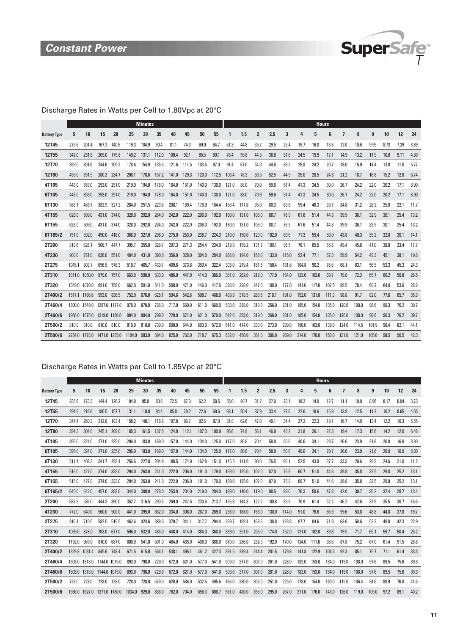

# Discharge Rates in Watts per Cell to 1.80Vpc at 20°C

|                     |        |               |               |               |        | <b>Minutes</b> |       |       |       |       |       |       |       |       |       |       |       | <b>Hours</b> |       |       |       |       |      |      |      |
|---------------------|--------|---------------|---------------|---------------|--------|----------------|-------|-------|-------|-------|-------|-------|-------|-------|-------|-------|-------|--------------|-------|-------|-------|-------|------|------|------|
| <b>Battery Type</b> |        | 10            | 15            | 20            | 25     | 30             | 35    | 40    | 45    | 50    | 55    |       | 1.5   | 2     | 2.5   | 3     | Δ     | 5            | 6     | 7     | 8     | 9     | 10   | 12   | 24   |
| 12T45               | 273.6  | 201.4         | 167.2         | 140.6         | 119.3  | 104.9          | 90.4  | 81.1  | 74.3  | 69.0  | 64.7  | 61.3  | 44.8  | 35.7  | 29.5  | 25.4  | 19.7  | 16.0         | 13.8  | 12.0  | 10.6  | 9.59  | 8.73 | 7.39 | 3.89 |
| <b>12T55</b>        | 342.0  | 251.8         | 209.0         | 175.8         | 149.2  | 131.1          | 112.0 | 100.4 | 92.1  | 85.5  | 80.1  | 76.4  | 55.8  | 44.5  | 36.8  | 31.6  | 24.5  | 19.9         | 17.1  | 14.9  | 13.2  | 11.9  | 10.8 | 9.11 | 4.80 |
| 12T70               | 399.0  | 301.6         | 244.6         | 205.2         | 178.6  | 154.9          | 135.5 | 121.6 | 111.5 | 103.5 | 97.0  | 91.4  | 67.0  | 54.0  | 44.6  | 38.2  | 29.8  | 24.2         | 20.7  | 18.0  | 15.9  | 14.4  | 13.0 | 11.0 | 5.77 |
| <b>12T80</b>        | 456.0  | 351.5         | 280.3         | 234.7         | 208.1  | 178.6          | 157.2 | 141.0 | 129.3 | 120.0 | 112.5 | 106.4 | 78.3  | 63.5  | 52.5  | 44.9  | 35.0  | 28.5         | 24.3  | 21.2  | 18.7  | 16.8  | 15.2 | 12.8 | 6.74 |
| 4T105               | 443.0  | 353.0         | 293.0         | 251.0         | 219.0  | 194.0          | 178.0 | 164.0 | 151.0 | 140.0 | 130.0 | 121.0 | 88.0  | 70.9  | 59.6  | 51.4  | 41.3  | 34.5         | 30.0  | 26.7  | 24.2  | 22.0  | 20.2 | 17.1 | 8.90 |
| 6T105               | 443.0  | 353.0         | 293.0         | 251.0         | 219.0  | 194.0          | 178.0 | 164.0 | 151.0 | 140.0 | 130.0 | 121.0 | 88.0  | 70.9  | 59.6  | 51.4  | 41.3  | 34.5         | 30.0  | 26.7  | 24.2  | 22.0  | 20.2 | 17.1 | 8.90 |
| 6T130               | 586.1  | 465.7         | 382.9         | 327.2         | 284.0  | 251.5          | 223.6 | 208.1 | 189.4 | 176.0 | 164.4 | 156.4 | 117.8 | 95.0  | 80.3  | 69.8  | 55.4  | 46.3         | 39.7  | 34.8  | 31.2  | 28.2  | 25.8 | 22.1 | 11.7 |
| 4T155               | 626.0  | 509.0         | 431.0         | 374.0         | 328.0  | 292.0          | 264.0 | 242.0 | 222.0 | 206.0 | 192.0 | 180.0 | 131.0 | 106.0 | 88.7  | 76.9  | 61.6  | 51.4         | 44.8  | 39.9  | 36.1  | 32.9  | 30.1 | 25.4 | 13.2 |
| 6T155               | 626.0  | 509.0         | 431.0         | 374.0         | 328.0  | 292.0          | 264.0 | 242.0 | 222.0 | 206.0 | 192.0 | 180.0 | 131.0 | 106.0 | 88.7  | 76.9  | 61.6  | 51.4         | 44.8  | 39.9  | 36.1  | 32.9  | 30.1 | 25.4 | 13.2 |
| 6T165/2             | 751.0  | 592.0         | 490.0         | 418.0         | 368.0  | 327.0          | 298.0 | 275.0 | 253.0 | 238.7 | 224.3 | 210.0 | 150.0 | 120.0 | 102.0 | 89.6  | 71.3  | 59.4         | 50.0  | 43.8  | 40.3  | 35.2  | 32.8 | 30.1 | 14.1 |
| 2T200               | 819.6  | 625.1         | 508.7         | 447.7         | 395.7  | 355.0          | 326.7 | 297.3 | 271.3 | 254.4 | 234.0 | 219.9 | 159.2 | 131.7 | 109.1 | 95.5  | 76.1  | 65.5         | 55.6  | 49.4  | 45.8  | 41.0  | 38.8 | 33.4 | 17.7 |
| 4T230               | 900.0  | 751.0         | 636.0         | 551.0         | 484.0  | 431.0          | 390.0 | 356.0 | 328.0 | 304.0 | 284.0 | 266.0 | 194.0 | 158.0 | 133.0 | 115.0 | 92.4  | 77.1         | 67.3  | 59.9  | 54.2  | 49.3  | 45.1 | 38.1 | 19.8 |
| 2T275               | 1045.1 | 803.7         | 656.5         | 576.3         | 518.7  | 465.7          | 430.7 | 409.6 | 373.8 | 350.4 | 322.4 | 303.0 | 219.4 | 181.5 | 150.4 | 131.6 | 104.8 | 90.2         | 76.6  | 68.1  | 63.1  | 56.5  | 53.3 | 45.3 | 24.3 |
| 2T310               |        | 1311.0 1050.0 | 879.0         | 757.0         | 663.0  | 590.0          | 533.0 | 486.0 | 447.0 | 414.0 | 386.0 | 361.0 | 262.0 | 212.0 | 177.0 | 154.0 | 123.0 | 103.0        | 89.7  | 79.8  | 72.3  | 65.7  | 60.2 | 50.8 | 26.5 |
| 2T320               |        | 1349.0 1070.0 | 891.0         | 758.0         | 662.0  | 591.0          | 541.0 | 500.0 | 471.0 | 446.0 | 417.0 | 398.0 | 298.0 | 247.0 | 198.0 | 177.0 | 141.0 | 117.0        | 102.5 | 89.5  | 78.4  | 69.2  | 64.0 | 53.6 | 28.2 |
| 2T400/2             |        | 1517.1 1166.6 | 953.0         | 836.5         | 752.9  | 676.0          | 625.1 | 594.6 | 542.6 | 508.7 | 468.0 | 439.9 | 318.5 | 263.5 | 218.1 | 191.0 | 152.0 | 131.0        | 111.3 | 98.8  | 91.7  | 82.0  | 77.6 | 65.7 | 35.3 |
| 2T460/4             | 1800.0 | 1549.0        |               | 1297.0 1117.0 | 978.0  | 870.0          | 786.0 | 717.0 | 660.0 | 611.0 | 569.0 | 533.0 | 388.0 | 316.0 | 266.0 | 231.0 | 185.0 | 154.0        | 135.0 | 120.0 | 108.0 | 98.6  | 90.3 | 76.2 | 39.7 |
| 2T460/6             |        | 1966.0 1575.0 |               | 1319.0 1136.0 | 994.0  | 884.0          | 799.0 | 729.0 | 671.0 | 621.0 | 579.0 | 542.0 | 393.0 | 319.0 | 266.0 | 231.0 | 185.0 | 154.0        | 135.0 | 120.0 | 108.0 | 98.6  | 90.3 | 76.2 | 39.7 |
| 2T500/2             | 810.0  | 810.0         | 810.0         | 810.0         | 810.0  | 810.0          | 739.0 | 690.0 | 644.0 | 603.0 | 572.0 | 541.0 | 414.0 | 330.0 | 273.0 | 239.0 | 190.0 | 163.0        | 139.0 | 124.0 | 114.5 | 101.9 | 96.4 | 82.1 | 44.1 |
| 2T500/6             |        | 2254.0 1778.0 | 1471.0 1255.0 |               | 1104.0 | 983.0          | 894.0 | 825.0 | 762.0 | 718.7 | 675.3 | 632.0 | 450.0 | 361.0 | 306.0 | 269.0 | 214.0 | 178.0        | 150.0 | 131.0 | 121.0 | 105.0 | 98.5 | 90.5 | 42.3 |

### Discharge Rates in Watts per Cell to 1.85Vpc at 20°C

|                     |        |               |               |               |        | <b>Minutes</b> |       |       |       |       |       |       |       |                |       |       |       |       | <b>Hours</b> |                |       |       |      |      |      |
|---------------------|--------|---------------|---------------|---------------|--------|----------------|-------|-------|-------|-------|-------|-------|-------|----------------|-------|-------|-------|-------|--------------|----------------|-------|-------|------|------|------|
| <b>Battery Type</b> | 5      | 10            | 15            | 20            | 25     | 30             | 35    | 40    | 45    | 50    | 55    |       | 1.5   | $\overline{2}$ | 2.5   | 3     | 4     | 5     | 6            | $\overline{ }$ | 8     | 9     | 10   | 12   | 24   |
| 12T45               | 235.6  | 173.3         | 144.4         | 126.2         | 104.9  | 95.0           | 80.6  | 72.5  | 67.3  | 62.2  | 58.5  | 55.0  | 40.7  | 31.2           | 27.0  | 23.1  | 18.2  | 14.9  | 12.7         | 11.1           | 10.0  | 8.96  | 8.17 | 6.94 | 3.73 |
| 12T55               | 294.5  | 216.6         | 180.5         | 157.7         | 131.1  | 118.8          | 94.4  | 85.8  | 79.2  | 72.6  | 69.6  | 68.1  | 50.4  | 37.9           | 33.4  | 28.6  | 22.6  | 18.6  | 15.9         | 13.9           | 12.5  | 11.2  | 10.2 | 8.65 | 4.65 |
| 12T70               | 344.4  | 260.3         | 212.8         | 183.4         | 158.2  | 140.1          | 118.6 | 107.8 | 96.7  | 92.5  | 87.0  | 81.8  | 62.6  | 47.0           | 40.1  | 34.4  | 27.2  | 22.3  | 19.1         | 16.7           | 14.9  | 13.4  | 12.2 | 10.3 | 5.55 |
| <b>12T80</b>        | 394.3  | 304.0         | 245.1         | 209.0         | 185.3  | 161.5          | 137.5 | 124.9 | 112.1 | 107.3 | 100.9 | 95.6  | 74.8  | 56.1           | 46.9  | 40.2  | 31.8  | 26.1  | 22.3         | 19.4           | 17.3  | 15.6  | 14.2 | 12.0 | 6.46 |
| 4T105               | 395.0  | 324.0         | 271.0         | 235.0         | 206.0  | 183.0          | 169.0 | 157.0 | 144.0 | 134.0 | 125.0 | 117.0 | 86.8  | 70.4           | 58.9  | 50.6  | 40.6  | 34.1  | 29.7         | 26.6           | 23.9  | 21.8  | 20.0 | 16.9 | 8.80 |
| 6T105               | 395.0  | 324.0         | 271.0         | 235.0         | 206.0  | 183.0          | 169.0 | 157.0 | 144.0 | 134.0 | 125.0 | 117.0 | 86.8  | 70.4           | 58.9  | 50.6  | 40.6  | 34.1  | 29.7         | 26.6           | 23.9  | 21.8  | 20.0 | 16.9 | 8.80 |
| 6T130               | 511.4  | 408.3         | 341.7         | 293.4         | 256.6  | 227.8          | 204.9 | 188.5 | 174.9 | 162.8 | 151.0 | 145.5 | 111.0 | 90.0           | 76.5  | 66.1  | 52.5  | 43.9  | 37.7         | 33.3           | 29.6  | 26.9  | 24.6 | 21.0 | 11.2 |
| 4T155               | 515.0  | 427.0         | 374.0         | 333.0         | 294.0  | 263.0          | 241.0 | 222.0 | 206.0 | 191.0 | 179.0 | 169.0 | 125.0 | 102.0          | 87.0  | 75.9  | 60.7  | 51.0  | 44.6         | 39.8           | 35.8  | 32.5  | 29.8 | 25.2 | 13.1 |
| 6T155               | 515.0  | 427.0         | 374.0         | 333.0         | 294.0  | 263.0          | 241.0 | 222.0 | 206.0 | 191.0 | 179.0 | 169.0 | 125.0 | 102.0          | 87.0  | 75.9  | 60.7  | 51.0  | 44.6         | 39.8           | 35.8  | 32.5  | 29.8 | 25.2 | 13.1 |
| 6T165/2             | 645.0  | 542.0         | 457.0         | 393.0         | 344.0  | 309.0          | 278.0 | 253.0 | 234.0 | 219.0 | 204.0 | 189.0 | 140.0 | 119.0          | 98.5  | 89.0  | 70.3  | 58.6  | 47.8         | 42.0           | 39.7  | 35.2  | 32.4 | 29.7 | 13.4 |
| 2T200               | 687.9  | 536.0         | 444.3         | 390.0         | 352.7  | 316.5          | 290.5 | 269.0 | 247.6 | 230.6 | 213.7 | 195.8 | 144.8 | 122.2          | 100.8 | 89.9  | 70.9  | 61.4  | 52.2         | 46.2           | 42.6  | 37.9  | 35.5 | 30.7 | 16.6 |
| 4T230               | 772.0  | 640.0         | 560.0         | 500.0         | 441.0  | 395.0          | 362.0 | 334.0 | 308.0 | 287.0 | 269.0 | 253.0 | 188.0 | 153.0          | 130.0 | 114.0 | 91.0  | 76.6  | 66.9         | 59.6           | 53.8  | 48.8  | 44.8 | 37.8 | 19.7 |
| 2T275               | 916.1  | 710.5         | 582.5         | 515.5         | 462.6  | 423.6          | 388.6 | 370.7 | 341.1 | 317.7 | 294.4 | 269.7 | 199.4 | 168.3          | 138.8 | 123.8 | 97.7  | 84.6  | 71.9         | 63.6           | 58.6  | 52.2  | 49.0 | 42.3 | 22.9 |
| 2T310               | 1069.0 | 878.0         | 763.0         | 677.0         | 596.0  | 532.0          | 486.0 | 448.0 | 414.0 | 384.0 | 360.0 | 339.0 | 251.0 | 205.0          | 174.0 | 152.0 | 121.0 | 102.0 | 89.3         | 79.5           | 71.7  | 65.1  | 59.7 | 50.4 | 26.2 |
| 2T320               | 1192.0 | 969.0         | 810.0         | 687.0         | 600.0  | 541.0          | 501.0 | 464.0 | 435.0 | 408.0 | 386.0 | 370.0 | 286.0 | 232.0          | 192.0 | 170.0 | 134.0 | 111.0 | 98.6         | 87.8           | 75.2  | 67.0  | 61.4 | 51.5 | 26.8 |
| 2T400/2             |        | 1329.8 1031.4 | 845.6         | 748.4         | 671.5  | 615.0          | 564.1 | 538.1 | 495.1 | 461.2 | 427.3 | 391.5 | 289.4 | 244.4          | 201.5 | 179.8 | 141.8 | 122.9 | 104.3        | 92.3           | 85.1  | 75.7  | 71.1 | 61.4 | 33.3 |
| 2T460/4             |        | 1603.0 1318.0 | 1144.0 1015.0 |               | 893.0  | 798.0          | 729.0 | 672.0 | 621.0 | 577.0 | 541.0 | 509.0 | 377.0 | 307.0          | 261.0 | 228.0 | 182.0 | 153.0 | 134.0        | 119.0          | 108.0 | 97.6  | 89.5 | 75.6 | 39.3 |
| 2T460/6             |        | 1603.0 1318.0 | 1144.0 1015.0 |               | 893.0  | 798.0          | 729.0 | 672.0 | 621.0 | 577.0 | 541.0 | 509.0 | 377.0 | 307.0          | 261.0 | 228.0 | 182.0 | 153.0 | 134.0        | 119.0          | 108.0 | 97.6  | 89.5 | 75.6 | 39.3 |
| 2T500/2             | 728.0  | 728.0         | 728.0         | 728.0         | 728.0  | 728.0          | 679.0 | 628.0 | 586.0 | 532.5 | 495.6 | 466.0 | 380.0 | 305.0          | 251.0 | 225.0 | 178.0 | 154.0 | 130.0        | 115.0          | 106.4 | 94.6  | 88.9 | 76.8 | 41.6 |
| 2T500/6             |        | 1936.0 1627.0 |               | 1371.0 1180.0 | 1034.0 | 929.0          | 836.0 | 762.0 | 704.0 | 656.3 | 608.7 | 561.0 | 420.0 | 356.0          | 295.0 | 267.0 | 211.0 | 176.0 | 143.0        | 126.0          | 119.0 | 105.0 | 97.2 | 89.1 | 40.2 |